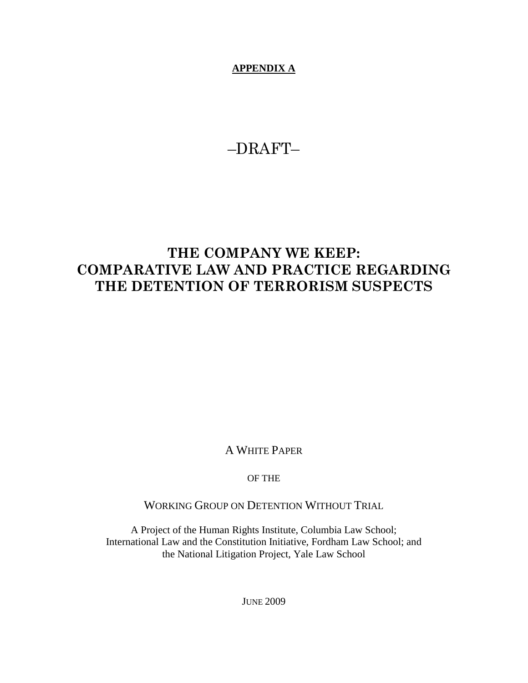**APPENDIX A**

–DRAFT–

# **THE COMPANY WE KEEP: COMPARATIVE LAW AND PRACTICE REGARDING THE DETENTION OF TERRORISM SUSPECTS**

A WHITE PAPER

OF THE

WORKING GROUP ON DETENTION WITHOUT TRIAL

A Project of the Human Rights Institute, Columbia Law School; International Law and the Constitution Initiative, Fordham Law School; and the National Litigation Project, Yale Law School

JUNE 2009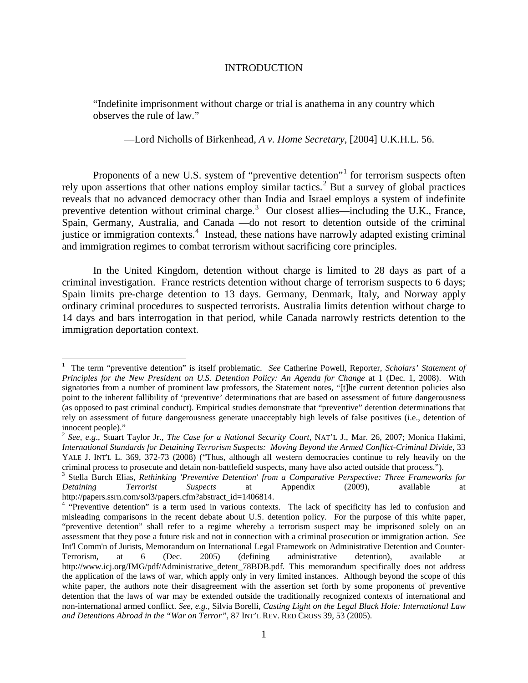## INTRODUCTION

"Indefinite imprisonment without charge or trial is anathema in any country which observes the rule of law."

—Lord Nicholls of Birkenhead, *A v. Home Secretary*, [2004] U.K.H.L. 56.

Proponents of a new U.S. system of "preventive detention"<sup>[1](#page-1-0)</sup> for terrorism suspects often rely upon assertions that other nations employ similar tactics.<sup>[2](#page-1-1)</sup> But a survey of global practices reveals that no advanced democracy other than India and Israel employs a system of indefinite preventive detention without criminal charge.<sup>[3](#page-1-2)</sup> Our closest allies—including the U.K., France, Spain, Germany, Australia, and Canada —do not resort to detention outside of the criminal justice or immigration contexts.<sup>[4](#page-1-3)</sup> Instead, these nations have narrowly adapted existing criminal and immigration regimes to combat terrorism without sacrificing core principles.

In the United Kingdom, detention without charge is limited to 28 days as part of a criminal investigation. France restricts detention without charge of terrorism suspects to 6 days; Spain limits pre-charge detention to 13 days. Germany, Denmark, Italy, and Norway apply ordinary criminal procedures to suspected terrorists. Australia limits detention without charge to 14 days and bars interrogation in that period, while Canada narrowly restricts detention to the immigration deportation context.

<span id="page-1-0"></span> $\frac{1}{1}$ <sup>1</sup> The term "preventive detention" is itself problematic. *See* Catherine Powell, Reporter, *Scholars' Statement of Principles for the New President on U.S. Detention Policy: An Agenda for Change* at 1 (Dec. 1, 2008). With signatories from a number of prominent law professors, the Statement notes, "[t]he current detention policies also point to the inherent fallibility of 'preventive' determinations that are based on assessment of future dangerousness (as opposed to past criminal conduct). Empirical studies demonstrate that "preventive" detention determinations that rely on assessment of future dangerousness generate unacceptably high levels of false positives (i.e., detention of innocent people)."

<span id="page-1-1"></span><sup>2</sup> *See*, *e.g*., Stuart Taylor Jr., *The Case for a National Security Court*, NAT'L J., Mar. 26, 2007; Monica Hakimi, *International Standards for Detaining Terrorism Suspects: Moving Beyond the Armed Conflict-Criminal Divide*, 33 YALE J. INT'L L. 369, 372-73 (2008) ("Thus, although all western democracies continue to rely heavily on the

<span id="page-1-2"></span>criminal process to prosecute and detain non-battlefield suspects, many have also acted outside that process.").<br><sup>3</sup> Stella Burch Elias, *Rethinking 'Preventive Detention' from a Comparative Perspective: Three Frameworks f Detaining Terrorist Suspects* at Appendix (2009), available at http://papers.ssrn.com/sol3/papers.cfm?abstract\_id=1406814.<br><sup>4</sup> "Preventive detention" is a term used in various contexts. The lack of specificity has led to confusion and

<span id="page-1-3"></span>misleading comparisons in the recent debate about U.S. detention policy. For the purpose of this white paper, "preventive detention" shall refer to a regime whereby a terrorism suspect may be imprisoned solely on an assessment that they pose a future risk and not in connection with a criminal prosecution or immigration action. *See* Int'l Comm'n of Jurists, Memorandum on International Legal Framework on Administrative Detention and Counter-<br>Terrorism. at 6 (Dec. 2005) (defining administrative detention), available at Terrorism, at 6 (Dec. 2005) (defining administrative detention), available at http://www.icj.org/IMG/pdf/Administrative\_detent\_78BDB.pdf. This memorandum specifically does not address the application of the laws of war, which apply only in very limited instances. Although beyond the scope of this white paper, the authors note their disagreement with the assertion set forth by some proponents of preventive detention that the laws of war may be extended outside the traditionally recognized contexts of international and non-international armed conflict. *See, e.g.,* Silvia Borelli, *Casting Light on the Legal Black Hole: International Law and Detentions Abroad in the "War on Terror"*, 87 INT'L REV. RED CROSS 39, 53 (2005).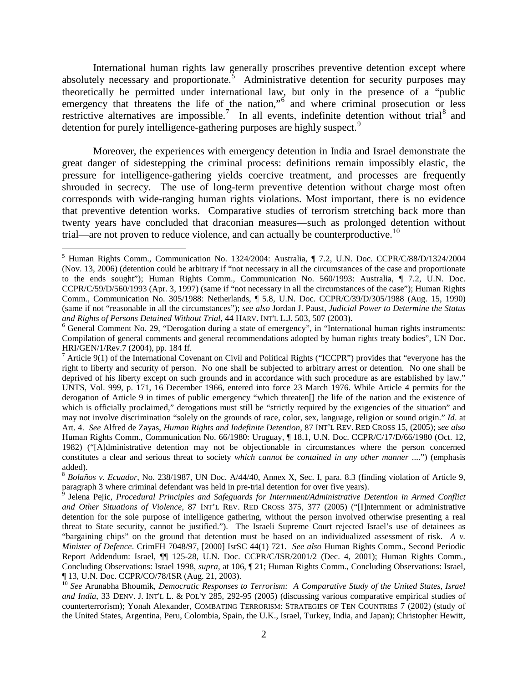International human rights law generally proscribes preventive detention except where absolutely necessary and proportionate. $5$  Administrative detention for security purposes may theoretically be permitted under international law, but only in the presence of a "public emergency that threatens the life of the nation," $\frac{6}{10}$  $\frac{6}{10}$  $\frac{6}{10}$  and where criminal prosecution or less restrictive alternatives are impossible.<sup>[7](#page-2-2)</sup> In all events, indefinite detention without trial<sup>[8](#page-2-3)</sup> and detention for purely intelligence-gathering purposes are highly suspect.<sup>[9](#page-2-4)</sup>

Moreover, the experiences with emergency detention in India and Israel demonstrate the great danger of sidestepping the criminal process: definitions remain impossibly elastic, the pressure for intelligence-gathering yields coercive treatment, and processes are frequently shrouded in secrecy. The use of long-term preventive detention without charge most often corresponds with wide-ranging human rights violations. Most important, there is no evidence that preventive detention works. Comparative studies of terrorism stretching back more than twenty years have concluded that draconian measures—such as prolonged detention without trial—are not proven to reduce violence, and can actually be counterproductive.<sup>[10](#page-2-5)</sup>

<span id="page-2-0"></span> <sup>5</sup> Human Rights Comm., Communication No. 1324/2004: Australia, ¶ 7.2, U.N. Doc. CCPR/C/88/D/1324/2004 (Nov. 13, 2006) (detention could be arbitrary if "not necessary in all the circumstances of the case and proportionate to the ends sought"); Human Rights Comm., Communication No. 560/1993: Australia,  $\P$  7.2, U.N. Doc. CCPR/C/59/D/560/1993 (Apr. 3, 1997) (same if "not necessary in all the circumstances of the case"); Human Rights Comm., Communication No. 305/1988: Netherlands, ¶ 5.8, U.N. Doc. CCPR/C/39/D/305/1988 (Aug. 15, 1990) (same if not "reasonable in all the circumstances"); *see also* Jordan J. Paust, *Judicial Power to Determine the Status and Rights of Persons Detained Without Trial*, 44 HARV. INT'L L.J. 503, 507 (2003). <sup>6</sup> General Comment No. 29, "Derogation during a state of emergency", in "International human rights instruments:

<span id="page-2-1"></span>Compilation of general comments and general recommendations adopted by human rights treaty bodies", UN Doc. HRI/GEN/1/Rev.7 (2004), pp. 184 ff.

<span id="page-2-2"></span><sup>&</sup>lt;sup>7</sup> Article 9(1) of the International Covenant on Civil and Political Rights ("ICCPR") provides that "everyone has the right to liberty and security of person. No one shall be subjected to arbitrary arrest or detention. No one shall be deprived of his liberty except on such grounds and in accordance with such procedure as are established by law." UNTS, Vol. 999, p. 171, 16 December 1966, entered into force 23 March 1976. While Article 4 permits for the derogation of Article 9 in times of public emergency "which threaten[] the life of the nation and the existence of which is officially proclaimed," derogations must still be "strictly required by the exigencies of the situation" and may not involve discrimination "solely on the grounds of race, color, sex, language, religion or sound origin." *Id*. at Art. 4. *See* Alfred de Zayas, *Human Rights and Indefinite Detention,* 87 INT'L REV. RED CROSS 15, (2005); *see also* Human Rights Comm., Communication No. 66/1980: Uruguay, ¶ 18.1, U.N. Doc. CCPR/C/17/D/66/1980 (Oct. 12, 1982) ("[A]dministrative detention may not be objectionable in circumstances where the person concerned constitutes a clear and serious threat to society *which cannot be contained in any other manner* ....") (emphasis added).

<span id="page-2-3"></span><sup>8</sup> *Bolaños v. Ecuador*, No. 238/1987, UN Doc. A/44/40, Annex X, Sec. I, para. 8.3 (finding violation of Article 9, paragraph 3 where criminal defendant was held in pre-trial detention for over five years).<br><sup>9</sup> Jelena Pejic, *Procedural Principles and Safeguards for Internment/Administrative Detention in Armed Conflict* 

<span id="page-2-4"></span>*and Other Situations of Violence*, 87 INT'L REV. RED CROSS 375, 377 (2005) ("[I]nternment or administrative detention for the sole purpose of intelligence gathering, without the person involved otherwise presenting a real threat to State security, cannot be justified."). The Israeli Supreme Court rejected Israel's use of detainees as "bargaining chips" on the ground that detention must be based on an individualized assessment of risk. *A v. Minister of Defence*. CrimFH 7048/97, [2000] IsrSC 44(1) 721. *See also* Human Rights Comm., Second Periodic Report Addendum: Israel, ¶¶ 125-28, U.N. Doc. CCPR/C/ISR/2001/2 (Dec. 4, 2001); Human Rights Comm., Concluding Observations: Israel 1998, *supra*, at 106, ¶ 21; Human Rights Comm., Concluding Observations: Israel, ¶ 13, U.N. Doc. CCPR/CO/78/ISR (Aug. 21, 2003).

<span id="page-2-5"></span><sup>10</sup> *See* Arunabha Bhoumik, *Democratic Responses to Terrorism: A Comparative Study of the United States, Israel and India*, 33 DENV. J. INT'L L. & POL'Y 285, 292-95 (2005) (discussing various comparative empirical studies of counterterrorism); Yonah Alexander, COMBATING TERRORISM: STRATEGIES OF TEN COUNTRIES 7 (2002) (study of the United States, Argentina, Peru, Colombia, Spain, the U.K., Israel, Turkey, India, and Japan); Christopher Hewitt,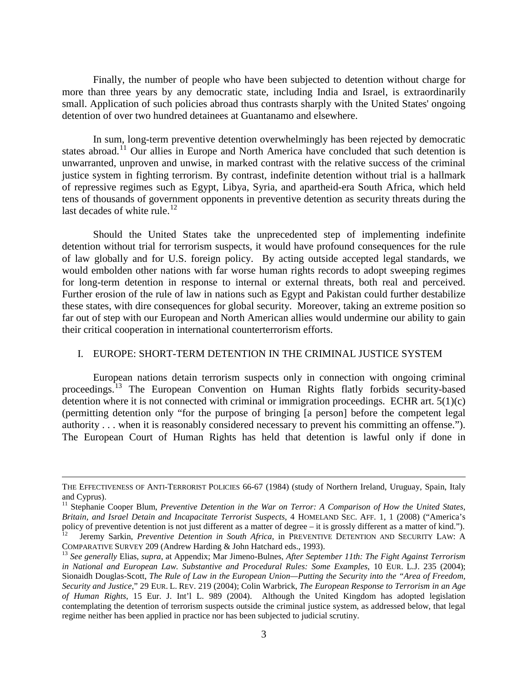Finally, the number of people who have been subjected to detention without charge for more than three years by any democratic state, including India and Israel, is extraordinarily small. Application of such policies abroad thus contrasts sharply with the United States' ongoing detention of over two hundred detainees at Guantanamo and elsewhere.

In sum, long-term preventive detention overwhelmingly has been rejected by democratic states abroad.<sup>[11](#page-3-0)</sup> Our allies in Europe and North America have concluded that such detention is unwarranted, unproven and unwise, in marked contrast with the relative success of the criminal justice system in fighting terrorism. By contrast, indefinite detention without trial is a hallmark of repressive regimes such as Egypt, Libya, Syria, and apartheid-era South Africa, which held tens of thousands of government opponents in preventive detention as security threats during the last decades of white rule.<sup>[12](#page-3-1)</sup>

Should the United States take the unprecedented step of implementing indefinite detention without trial for terrorism suspects, it would have profound consequences for the rule of law globally and for U.S. foreign policy. By acting outside accepted legal standards, we would embolden other nations with far worse human rights records to adopt sweeping regimes for long-term detention in response to internal or external threats, both real and perceived. Further erosion of the rule of law in nations such as Egypt and Pakistan could further destabilize these states, with dire consequences for global security. Moreover, taking an extreme position so far out of step with our European and North American allies would undermine our ability to gain their critical cooperation in international counterterrorism efforts.

#### I. EUROPE: SHORT-TERM DETENTION IN THE CRIMINAL JUSTICE SYSTEM

European nations detain terrorism suspects only in connection with ongoing criminal proceedings.<sup>[13](#page-3-2)</sup> The European Convention on Human Rights flatly forbids security-based detention where it is not connected with criminal or immigration proceedings. ECHR art. 5(1)(c) (permitting detention only "for the purpose of bringing [a person] before the competent legal authority . . . when it is reasonably considered necessary to prevent his committing an offense."). The European Court of Human Rights has held that detention is lawful only if done in

 $\overline{a}$ 

THE EFFECTIVENESS OF ANTI-TERRORIST POLICIES 66-67 (1984) (study of Northern Ireland, Uruguay, Spain, Italy and Cyprus).

<span id="page-3-0"></span><sup>&</sup>lt;sup>11</sup> Stephanie Cooper Blum, *Preventive Detention in the War on Terror: A Comparison of How the United States, Britain, and Israel Detain and Incapacitate Terrorist Suspects*, 4 HOMELAND SEC. AFF. 1, 1 (2008) ("America's policy of preventive detention is not just different as a matter of degree – it is grossly different as a matter of kind.").<br><sup>12</sup> Jeremy Sarkin, *Preventive Detention in South Africa*, in PREVENTIVE DETENTION AND SECURITY

<span id="page-3-1"></span>

<span id="page-3-2"></span><sup>&</sup>lt;sup>13</sup> See generally Elias, *supra*, at Appendix; Mar Jimeno-Bulnes, *After September 11th: The Fight Against Terrorism in National and European Law. Substantive and Procedural Rules: Some Examples*, 10 EUR. L.J. 235 (2004); Sionaidh Douglas-Scott, *The Rule of Law in the European Union—Putting the Security into the "Area of Freedom, Security and Justice*," 29 EUR. L. REV. 219 (2004); Colin Warbrick, *The European Response to Terrorism in an Age of Human Rights*, 15 Eur. J. Int'l L. 989 (2004). Although the United Kingdom has adopted legislation contemplating the detention of terrorism suspects outside the criminal justice system, as addressed below, that legal regime neither has been applied in practice nor has been subjected to judicial scrutiny.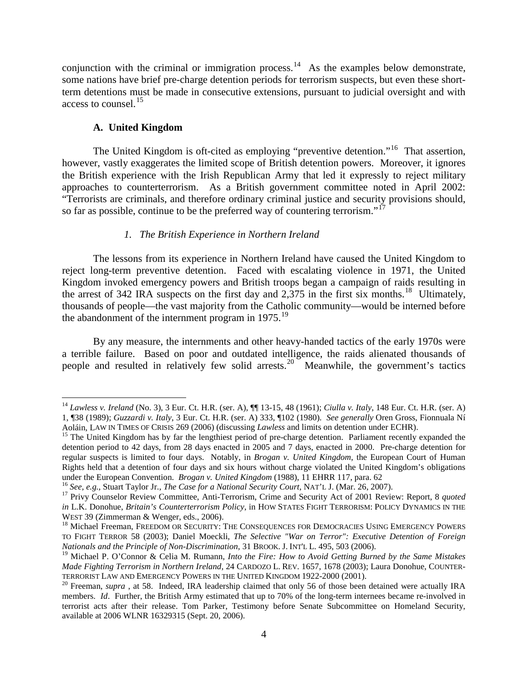conjunction with the criminal or immigration process.<sup>14</sup> As the examples below demonstrate, some nations have brief pre-charge detention periods for terrorism suspects, but even these shortterm detentions must be made in consecutive extensions, pursuant to judicial oversight and with access to counsel.<sup>[15](#page-4-1)</sup>

# **A. United Kingdom**

The United Kingdom is oft-cited as employing "preventive detention."<sup>16</sup> That assertion, however, vastly exaggerates the limited scope of British detention powers. Moreover, it ignores the British experience with the Irish Republican Army that led it expressly to reject military approaches to counterterrorism. As a British government committee noted in April 2002: "Terrorists are criminals, and therefore ordinary criminal justice and security provisions should, so far as possible, continue to be the preferred way of countering terrorism."<sup>[17](#page-4-3)</sup>

# *1. The British Experience in Northern Ireland*

The lessons from its experience in Northern Ireland have caused the United Kingdom to reject long-term preventive detention. Faced with escalating violence in 1971, the United Kingdom invoked emergency powers and British troops began a campaign of raids resulting in the arrest of 342 IRA suspects on the first day and  $2,375$  in the first six months.<sup>18</sup> Ultimately, thousands of people—the vast majority from the Catholic community—would be interned before the abandonment of the internment program in [19](#page-4-5)75.<sup>19</sup>

By any measure, the internments and other heavy-handed tactics of the early 1970s were a terrible failure. Based on poor and outdated intelligence, the raids alienated thousands of people and resulted in relatively few solid arrests.<sup>[20](#page-4-6)</sup> Meanwhile, the government's tactics

<span id="page-4-0"></span> <sup>14</sup> *Lawless v. Ireland* (No. 3), 3 Eur. Ct. H.R. (ser. A), ¶¶ 13-15, 48 (1961); *Ciulla v. Italy*, 148 Eur. Ct. H.R. (ser. A) 1, ¶38 (1989); *Guzzardi v. Italy*, 3 Eur. Ct. H.R. (ser. A) 333, ¶102 (1980). *See generally* Oren Gross, Fionnuala Ní

<span id="page-4-1"></span><sup>&</sup>lt;sup>15</sup> The United Kingdom has by far the lengthiest period of pre-charge detention. Parliament recently expanded the detention period to 42 days, from 28 days enacted in 2005 and 7 days, enacted in 2000. Pre-charge detention for regular suspects is limited to four days. Notably, in *Brogan v. United Kingdom*, the European Court of Human Rights held that a detention of four days and six hours without charge violated the United Kingdom's obligations under the European Convention. *Brogan v. United Kingdom* (1988), 11 EHRR 117, para. 62<br><sup>16</sup> See, e.g., Stuart Taylor Jr., *The Case for a National Security Court*, NAT'L J. (Mar. 26, 2007).<br><sup>17</sup> Privy Counselor Review Com

<span id="page-4-2"></span>

<span id="page-4-3"></span>*in* L.K. Donohue, *Britain's Counterterrorism Policy*, in HOW STATES FIGHT TERRORISM: POLICY DYNAMICS IN THE WEST 39 (Zimmerman & Wenger, eds., 2006).

<span id="page-4-4"></span><sup>&</sup>lt;sup>18</sup> Michael Freeman, FREEDOM OR SECURITY: THE CONSEQUENCES FOR DEMOCRACIES USING EMERGENCY POWERS TO FIGHT TERROR 58 (2003); Daniel Moeckli, *The Selective "War on Terror": Executive Detention of Foreign Nationals and the Principle of Non-Discrimination*, 31 BROOK. J. INT'L L. 495, 503 (2006).

<span id="page-4-5"></span><sup>19</sup> Michael P. O'Connor & Celia M. Rumann, *Into the Fire: How to Avoid Getting Burned by the Same Mistakes Made Fighting Terrorism in Northern Ireland*, 24 CARDOZO L. REV. 1657, 1678 (2003); Laura Donohue, COUNTER-

<span id="page-4-6"></span><sup>&</sup>lt;sup>20</sup> Freeman, *supra*, at 58. Indeed, IRA leadership claimed that only 56 of those been detained were actually IRA members. *Id*. Further, the British Army estimated that up to 70% of the long-term internees became re-involved in terrorist acts after their release. Tom Parker, Testimony before Senate Subcommittee on Homeland Security, available at 2006 WLNR 16329315 (Sept. 20, 2006).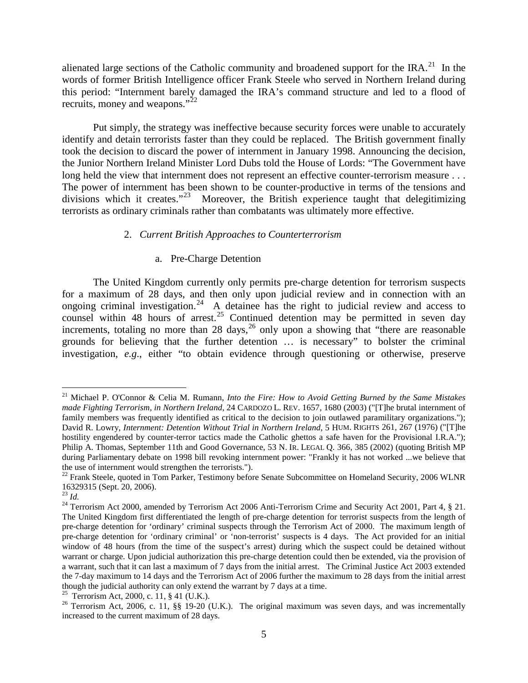alienated large sections of the Catholic community and broadened support for the  $IRA$ <sup>21</sup>. In the words of former British Intelligence officer Frank Steele who served in Northern Ireland during this period: "Internment barely damaged the IRA's command structure and led to a flood of recruits, money and weapons."<sup>[22](#page-5-1)</sup>

Put simply, the strategy was ineffective because security forces were unable to accurately identify and detain terrorists faster than they could be replaced. The British government finally took the decision to discard the power of internment in January 1998. Announcing the decision, the Junior Northern Ireland Minister Lord Dubs told the House of Lords: "The Government have long held the view that internment does not represent an effective counter-terrorism measure . . . The power of internment has been shown to be counter-productive in terms of the tensions and divisions which it creates."<sup>[23](#page-5-2)</sup> Moreover, the British experience taught that delegitimizing terrorists as ordinary criminals rather than combatants was ultimately more effective.

## 2. *Current British Approaches to Counterterrorism*

## a. Pre-Charge Detention

The United Kingdom currently only permits pre-charge detention for terrorism suspects for a maximum of 28 days, and then only upon judicial review and in connection with an ongoing criminal investigation.<sup>[24](#page-5-3)</sup> A detainee has the right to judicial review and access to counsel within 48 hours of arrest.<sup>[25](#page-5-4)</sup> Continued detention may be permitted in seven day increments, totaling no more than  $28 \text{ days}$ ,  $26 \text{ only upon a showing that "there are reasonable"$  $26 \text{ only upon a showing that "there are reasonable"$ grounds for believing that the further detention … is necessary" to bolster the criminal investigation, *e.g*., either "to obtain evidence through questioning or otherwise, preserve

<span id="page-5-0"></span> <sup>21</sup> Michael P. O'Connor & Celia M. Rumann, *Into the Fire: How to Avoid Getting Burned by the Same Mistakes made Fighting Terrorism, in Northern Ireland*, 24 CARDOZO L. REV. 1657, 1680 (2003) ("[T]he brutal internment of family members was frequently identified as critical to the decision to join outlawed paramilitary organizations."); David R. Lowry, *Internment: Detention Without Trial in Northern Ireland*, 5 HUM. RIGHTS 261, 267 (1976) ("[T]he hostility engendered by counter-terror tactics made the Catholic ghettos a safe haven for the Provisional I.R.A."); Philip A. Thomas, September 11th and Good Governance, 53 N. IR. LEGAL Q. 366, 385 (2002) (quoting British MP during Parliamentary debate on 1998 bill revoking internment power: "Frankly it has not worked ...we believe that the use of internment would strengthen the terrorists.").

<span id="page-5-1"></span> $^{22}$  Frank Steele, quoted in Tom Parker, Testimony before Senate Subcommittee on Homeland Security, 2006 WLNR 16329315 (Sept. 20, 2006).

<span id="page-5-3"></span><span id="page-5-2"></span><sup>&</sup>lt;sup>23</sup> *Id.* <sup>24</sup> Terrorism Act 2000, amended by Terrorism Act 2006 Anti-Terrorism Crime and Security Act 2001, Part 4, § 21. The United Kingdom first differentiated the length of pre-charge detention for terrorist suspects from the length of pre-charge detention for 'ordinary' criminal suspects through the Terrorism Act of 2000. The maximum length of pre-charge detention for 'ordinary criminal' or 'non-terrorist' suspects is 4 days. The Act provided for an initial window of 48 hours (from the time of the suspect's arrest) during which the suspect could be detained without warrant or charge. Upon judicial authorization this pre-charge detention could then be extended, via the provision of a warrant, such that it can last a maximum of 7 days from the initial arrest. The Criminal Justice Act 2003 extended the 7-day maximum to 14 days and the Terrorism Act of 2006 further the maximum to 28 days from the initial arrest though the judicial authority can only extend the warrant by 7 days at a time.<br>
<sup>25</sup> Terrorism Act, 2000, c. 11, § 41 (U.K.).<br>
<sup>26</sup> Terrorism Act, 2006, c. 11, §§ 19-20 (U.K.). The original maximum was seven days, and was

<span id="page-5-4"></span>

<span id="page-5-5"></span>increased to the current maximum of 28 days.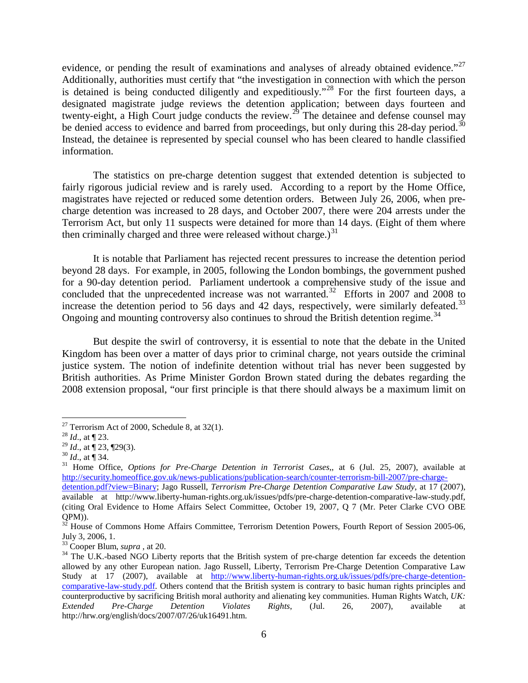evidence, or pending the result of examinations and analyses of already obtained evidence."<sup>[27](#page-6-0)</sup> Additionally, authorities must certify that "the investigation in connection with which the person is detained is being conducted diligently and expeditiously."<sup>[28](#page-6-1)</sup> For the first fourteen days, a designated magistrate judge reviews the detention application; between days fourteen and twenty-eight, a High Court judge conducts the review.<sup>[29](#page-6-2)</sup> The detainee and defense counsel may be denied access to evidence and barred from proceedings, but only during this 28-day period.<sup>[30](#page-6-3)</sup> Instead, the detainee is represented by special counsel who has been cleared to handle classified information.

The statistics on pre-charge detention suggest that extended detention is subjected to fairly rigorous judicial review and is rarely used. According to a report by the Home Office, magistrates have rejected or reduced some detention orders. Between July 26, 2006, when precharge detention was increased to 28 days, and October 2007, there were 204 arrests under the Terrorism Act, but only 11 suspects were detained for more than 14 days. (Eight of them where then criminally charged and three were released without charge.) $31$ 

It is notable that Parliament has rejected recent pressures to increase the detention period beyond 28 days. For example, in 2005, following the London bombings, the government pushed for a 90-day detention period. Parliament undertook a comprehensive study of the issue and concluded that the unprecedented increase was not warranted.<sup>32</sup> Efforts in 2007 and 2008 to increase the detention period to 56 days and 42 days, respectively, were similarly defeated.<sup>[33](#page-6-6)</sup> Ongoing and mounting controversy also continues to shroud the British detention regime.<sup>[34](#page-6-7)</sup>

But despite the swirl of controversy, it is essential to note that the debate in the United Kingdom has been over a matter of days prior to criminal charge, not years outside the criminal justice system. The notion of indefinite detention without trial has never been suggested by British authorities. As Prime Minister Gordon Brown stated during the debates regarding the 2008 extension proposal, "our first principle is that there should always be a maximum limit on

<span id="page-6-1"></span><span id="page-6-0"></span><sup>&</sup>lt;sup>27</sup> Terrorism Act of 2000, Schedule 8, at 32(1).<br><sup>28</sup> *Id.*, at ¶ 23. <sup>29</sup> *Id.*, at ¶ 23, ¶ 29(3).

<span id="page-6-4"></span><span id="page-6-3"></span><span id="page-6-2"></span> $^{30}$  *Id.*, at  $\overline{\P}$  34.  $\overline{\P}$ <br><sup>31</sup> Home Office, *Options for Pre-Charge Detention in Terrorist Cases*,, at 6 (Jul. 25, 2007), available at [http://security.homeoffice.gov.uk/news-publications/publication-search/counter-terrorism-bill-2007/pre-charge-](http://security.homeoffice.gov.uk/news-publications/publication-search/counter-terrorism-bill-2007/pre-charge-detention.pdf?view=Binary)

[detention.pdf?view=Binary;](http://security.homeoffice.gov.uk/news-publications/publication-search/counter-terrorism-bill-2007/pre-charge-detention.pdf?view=Binary) Jago Russell, *Terrorism Pre-Charge Detention Comparative Law Study*, at 17 (2007), available at http://www.liberty-human-rights.org.uk/issues/pdfs/pre-charge-detention-comparative-law-study.pdf, (citing Oral Evidence to Home Affairs Select Committee, October 19, 2007, Q 7 (Mr. Peter Clarke CVO OBE

<span id="page-6-5"></span>QPM)).<br><sup>32</sup> House of Commons Home Affairs Committee, Terrorism Detention Powers, Fourth Report of Session 2005-06, July 3, 2006, 1.<br><sup>33</sup> Cooper Blum, *supra*, at 20.

<span id="page-6-6"></span>

<span id="page-6-7"></span><sup>&</sup>lt;sup>34</sup> The U.K.-based NGO Liberty reports that the British system of pre-charge detention far exceeds the detention allowed by any other European nation. Jago Russell, Liberty, Terrorism Pre-Charge Detention Comparative Law Study at 17 (2007), available at [http://www.liberty-human-rights.org.uk/issues/pdfs/pre-charge-detention](http://www.liberty-human-rights.org.uk/issues/pdfs/pre-charge-detention-comparative-law-study.pdf)[comparative-law-study.pdf.](http://www.liberty-human-rights.org.uk/issues/pdfs/pre-charge-detention-comparative-law-study.pdf) Others contend that the British system is contrary to basic human rights principles and counterproductive by sacrificing British moral authority and alienating key communities. Human Rights Watch, *UK: Extended Pre-Charge Detention Violates Rights*, (Jul. 26, 2007), available at http://hrw.org/english/docs/2007/07/26/uk16491.htm.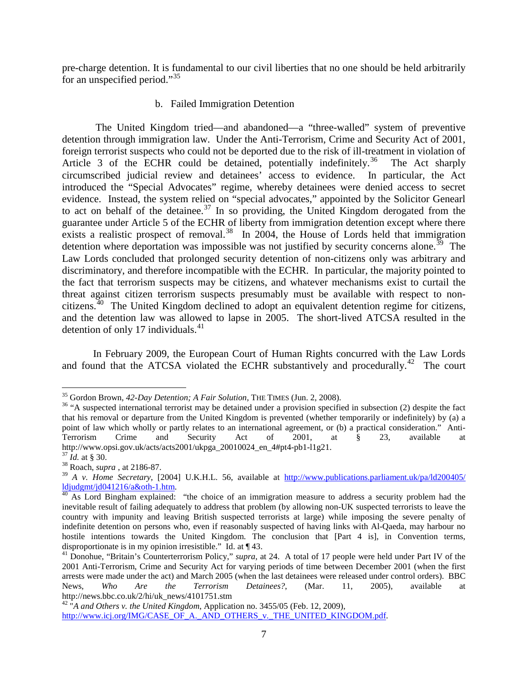pre-charge detention. It is fundamental to our civil liberties that no one should be held arbitrarily for an unspecified period."[35](#page-7-0)

# b. Failed Immigration Detention

The United Kingdom tried—and abandoned—a "three-walled" system of preventive detention through immigration law. Under the Anti-Terrorism, Crime and Security Act of 2001, foreign terrorist suspects who could not be deported due to the risk of ill-treatment in violation of Article 3 of the ECHR could be detained, potentially indefinitely.<sup>[36](#page-7-1)</sup> The Act sharply circumscribed judicial review and detainees' access to evidence. In particular, the Act introduced the "Special Advocates" regime, whereby detainees were denied access to secret evidence. Instead, the system relied on "special advocates," appointed by the Solicitor Genearl to act on behalf of the detainee.<sup>[37](#page-7-2)</sup> In so providing, the United Kingdom derogated from the guarantee under Article 5 of the ECHR of liberty from immigration detention except where there exists a realistic prospect of removal.<sup>[38](#page-7-3)</sup> In 2004, the House of Lords held that immigration detention where deportation was impossible was not justified by security concerns alone.<sup>[39](#page-7-4)</sup> The Law Lords concluded that prolonged security detention of non-citizens only was arbitrary and discriminatory, and therefore incompatible with the ECHR. In particular, the majority pointed to the fact that terrorism suspects may be citizens, and whatever mechanisms exist to curtail the threat against citizen terrorism suspects presumably must be available with respect to noncitizens.<sup> $40$ </sup> The United Kingdom declined to adopt an equivalent detention regime for citizens, and the detention law was allowed to lapse in 2005. The short-lived ATCSA resulted in the detention of only 17 individuals. $41$ 

In February 2009, the European Court of Human Rights concurred with the Law Lords and found that the ATCSA violated the ECHR substantively and procedurally.<sup>[42](#page-7-7)</sup> The court

<span id="page-7-1"></span><span id="page-7-0"></span><sup>&</sup>lt;sup>35</sup> Gordon Brown, *42-Day Detention; A Fair Solution*, THE TIMES (Jun. 2, 2008).<br><sup>36</sup> "A suspected international terrorist may be detained under a provision specified in subsection (2) despite the fact that his removal or departure from the United Kingdom is prevented (whether temporarily or indefinitely) by (a) a point of law which wholly or partly relates to an international agreement, or (b) a practical consideration." Anti-Terrorism Crime and Security Act of 2001, at § 23, available at http://www.opsi.gov.uk/acts/acts2001/ukpga\_20010024\_en\_4#pt4-pb1-l1g21. <sup>37</sup> *Id.* at § 30. <sup>38</sup> Roach, *supra* , at 2186-87.

<span id="page-7-2"></span>

<span id="page-7-4"></span><span id="page-7-3"></span><sup>39</sup> *A v. Home Secretary*, [2004] U.K.H.L. 56, available at [http://www.publications.parliament.uk/pa/ld200405/](http://www.publications.parliament.uk/pa/ld200405/%20ldjudgmt/jd041216/a&oth-1.htm)  [ldjudgmt/jd041216/a&oth-1.htm.](http://www.publications.parliament.uk/pa/ld200405/%20ldjudgmt/jd041216/a&oth-1.htm) [40](http://www.publications.parliament.uk/pa/ld200405/%20ldjudgmt/jd041216/a&oth-1.htm) As Lord Bingham explained: "the choice of an immigration measure to address a security problem had the

<span id="page-7-5"></span>inevitable result of failing adequately to address that problem (by allowing non-UK suspected terrorists to leave the country with impunity and leaving British suspected terrorists at large) while imposing the severe penalty of indefinite detention on persons who, even if reasonably suspected of having links with Al-Qaeda, may harbour no hostile intentions towards the United Kingdom. The conclusion that [Part 4 is], in Convention terms, disproportionate is in my opinion irresistible." Id. at  $\P$  43.

<span id="page-7-6"></span><sup>&</sup>lt;sup>41</sup> Donohue, "Britain's Counterterrorism Policy," *supra*, at 24. A total of 17 people were held under Part IV of the 2001 Anti-Terrorism, Crime and Security Act for varying periods of time between December 2001 (when the first arrests were made under the act) and March 2005 (when the last detainees were released under control orders). BBC News, *Who Are the Terrorism Detainees?*, (Mar. 11, 2005), available at http://news.bbc.co.uk/2/hi/uk\_news/4101751.stm <sup>42</sup> "*A and Others v. the United Kingdom*, Application no. 3455/05 (Feb. 12, 2009),

<span id="page-7-7"></span>[http://www.icj.org/IMG/CASE\\_OF\\_A.\\_AND\\_OTHERS\\_v.\\_THE\\_UNITED\\_KINGDOM.pdf.](http://www.icj.org/IMG/CASE_OF_A._AND_OTHERS_v._THE_UNITED_KINGDOM.pdf)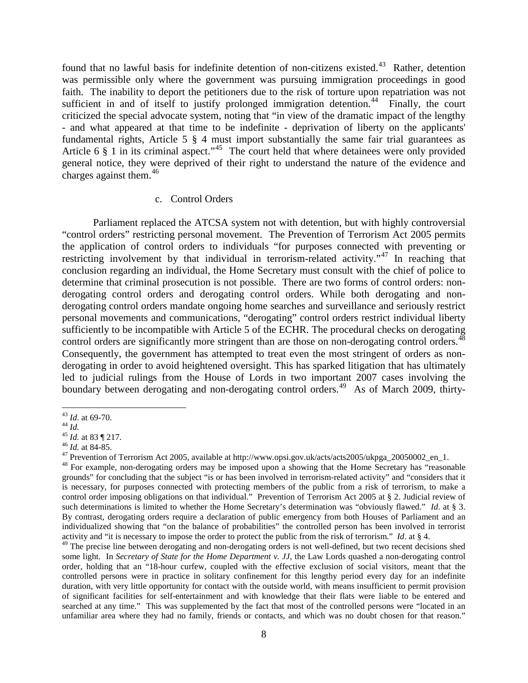found that no lawful basis for indefinite detention of non-citizens existed.<sup>[43](#page-8-0)</sup> Rather, detention was permissible only where the government was pursuing immigration proceedings in good faith. The inability to deport the petitioners due to the risk of torture upon repatriation was not sufficient in and of itself to justify prolonged immigration detention.<sup>44</sup> Finally, the court criticized the special advocate system, noting that "in view of the dramatic impact of the lengthy - and what appeared at that time to be indefinite - deprivation of liberty on the applicants' fundamental rights, Article 5 § 4 must import substantially the same fair trial guarantees as Article 6 § 1 in its criminal aspect."<sup>[45](#page-8-2)</sup> The court held that where detainees were only provided general notice, they were deprived of their right to understand the nature of the evidence and charges against them. $46$ 

# c. Control Orders

Parliament replaced the ATCSA system not with detention, but with highly controversial "control orders" restricting personal movement. The Prevention of Terrorism Act 2005 permits the application of control orders to individuals "for purposes connected with preventing or restricting involvement by that individual in terrorism-related activity."<sup>[47](#page-8-4)</sup> In reaching that conclusion regarding an individual, the Home Secretary must consult with the chief of police to determine that criminal prosecution is not possible. There are two forms of control orders: nonderogating control orders and derogating control orders. While both derogating and nonderogating control orders mandate ongoing home searches and surveillance and seriously restrict personal movements and communications, "derogating" control orders restrict individual liberty sufficiently to be incompatible with Article 5 of the ECHR. The procedural checks on derogating control orders are significantly more stringent than are those on non-derogating control orders.<sup>[48](#page-8-5)</sup> Consequently, the government has attempted to treat even the most stringent of orders as nonderogating in order to avoid heightened oversight. This has sparked litigation that has ultimately led to judicial rulings from the House of Lords in two important 2007 cases involving the boundary between derogating and non-derogating control orders.<sup>[49](#page-8-6)</sup> As of March 2009, thirty-

<span id="page-8-2"></span>

<span id="page-8-3"></span>

<span id="page-8-5"></span><span id="page-8-4"></span>

<span id="page-8-1"></span><span id="page-8-0"></span><sup>&</sup>lt;sup>43</sup> *Id.* at 69-70.<br>
<sup>44</sup> *Id.*<br>
<sup>45</sup> *Id.* at 83 ¶ 217.<br>
<sup>46</sup> *Id.* at 84-85.<br>
<sup>47</sup> Prevention of Terrorism Act 2005, available at http://www.opsi.gov.uk/acts/acts2005/ukpga\_20050002\_en\_1.<br>
<sup>48</sup> For example, non-derogat grounds" for concluding that the subject "is or has been involved in terrorism-related activity" and "considers that it is necessary, for purposes connected with protecting members of the public from a risk of terrorism, to make a control order imposing obligations on that individual." Prevention of Terrorism Act 2005 at § 2. Judicial review of such determinations is limited to whether the Home Secretary's determination was "obviously flawed." *Id*. at § 3. By contrast, derogating orders require a declaration of public emergency from both Houses of Parliament and an individualized showing that "on the balance of probabilities" the controlled person has been involved in terrorist activity and "it is necessary to impose the order to protect the public from the risk of terrorism." *Id*. at § 4.

<span id="page-8-6"></span><sup>&</sup>lt;sup>49</sup> The precise line between derogating and non-derogating orders is not well-defined, but two recent decisions shed some light. In *Secretary of State for the Home Department v. JJ*, the Law Lords quashed a non-derogating control order, holding that an "18-hour curfew, coupled with the effective exclusion of social visitors, meant that the controlled persons were in practice in solitary confinement for this lengthy period every day for an indefinite duration, with very little opportunity for contact with the outside world, with means insufficient to permit provision of significant facilities for self-entertainment and with knowledge that their flats were liable to be entered and searched at any time." This was supplemented by the fact that most of the controlled persons were "located in an unfamiliar area where they had no family, friends or contacts, and which was no doubt chosen for that reason."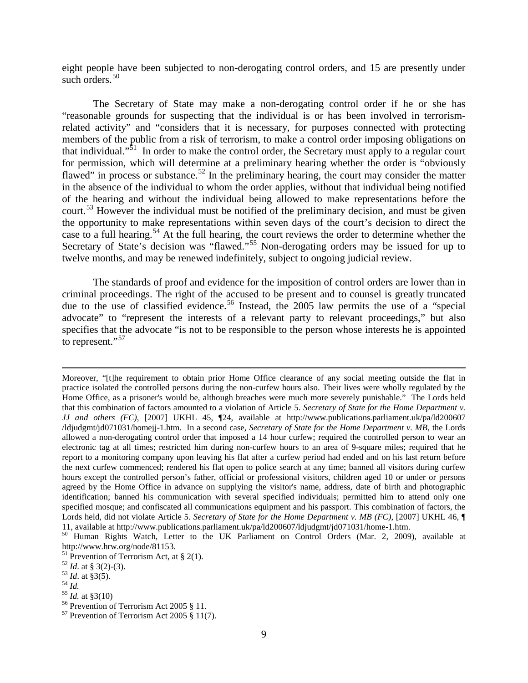eight people have been subjected to non-derogating control orders, and 15 are presently under such orders.<sup>[50](#page-9-0)</sup>

The Secretary of State may make a non-derogating control order if he or she has "reasonable grounds for suspecting that the individual is or has been involved in terrorismrelated activity" and "considers that it is necessary, for purposes connected with protecting members of the public from a risk of terrorism, to make a control order imposing obligations on that individual."<sup>51</sup> In order to make the control order, the Secretary must apply to a regular court for permission, which will determine at a preliminary hearing whether the order is "obviously flawed" in process or substance.<sup>[52](#page-9-2)</sup> In the preliminary hearing, the court may consider the matter in the absence of the individual to whom the order applies, without that individual being notified of the hearing and without the individual being allowed to make representations before the court.<sup>[53](#page-9-3)</sup> However the individual must be notified of the preliminary decision, and must be given the opportunity to make representations within seven days of the court's decision to direct the case to a full hearing.<sup>[54](#page-9-4)</sup> At the full hearing, the court reviews the order to determine whether the Secretary of State's decision was "flawed."<sup>[55](#page-9-5)</sup> Non-derogating orders may be issued for up to twelve months, and may be renewed indefinitely, subject to ongoing judicial review.

The standards of proof and evidence for the imposition of control orders are lower than in criminal proceedings. The right of the accused to be present and to counsel is greatly truncated due to the use of classified evidence. [56](#page-9-6) Instead, the 2005 law permits the use of a "special advocate" to "represent the interests of a relevant party to relevant proceedings," but also specifies that the advocate "is not to be responsible to the person whose interests he is appointed to represent."<sup>[57](#page-9-7)</sup>

 $\overline{a}$ 

<span id="page-9-6"></span>

Moreover, "[t]he requirement to obtain prior Home Office clearance of any social meeting outside the flat in practice isolated the controlled persons during the non-curfew hours also. Their lives were wholly regulated by the Home Office, as a prisoner's would be, although breaches were much more severely punishable." The Lords held that this combination of factors amounted to a violation of Article 5. *Secretary of State for the Home Department v. JJ and others (FC)*, [2007] UKHL 45, ¶24, available at http://www.publications.parliament.uk/pa/ld200607 /ldjudgmt/jd071031/homejj-1.htm. In a second case, *Secretary of State for the Home Department v. MB*, the Lords allowed a non-derogating control order that imposed a 14 hour curfew; required the controlled person to wear an electronic tag at all times; restricted him during non-curfew hours to an area of 9-square miles; required that he report to a monitoring company upon leaving his flat after a curfew period had ended and on his last return before the next curfew commenced; rendered his flat open to police search at any time; banned all visitors during curfew hours except the controlled person's father, official or professional visitors, children aged 10 or under or persons agreed by the Home Office in advance on supplying the visitor's name, address, date of birth and photographic identification; banned his communication with several specified individuals; permitted him to attend only one specified mosque; and confiscated all communications equipment and his passport. This combination of factors, the Lords held, did not violate Article 5. *Secretary of State for the Home Department v. MB (FC)*, [2007] UKHL 46, ¶ 11, available at http://www.publications.parliament.uk/pa/ld200607/ldjudgmt/jd071031/home-1.htm.

<span id="page-9-0"></span><sup>&</sup>lt;sup>50</sup> Human Rights Watch, Letter to the UK Parliament on Control Orders (Mar. 2, 2009), available at http://www.hrw.org/node/81153.<br><sup>51</sup> Prevention of Terrorism Act, at § 2(1).

<span id="page-9-5"></span><span id="page-9-4"></span>

<span id="page-9-3"></span><span id="page-9-2"></span><span id="page-9-1"></span><sup>&</sup>lt;sup>52</sup> *Id.* at § 3(2)-(3).<br>
<sup>53</sup> *Id.* at § 3(5).<br>
<sup>54</sup> *Id.* at § 3(10)<br>
<sup>56</sup> Prevention of Terrorism Act 2005 § 11.<br>
<sup>57</sup> Prevention of Terrorism Act 2005 § 11(7).

<span id="page-9-7"></span>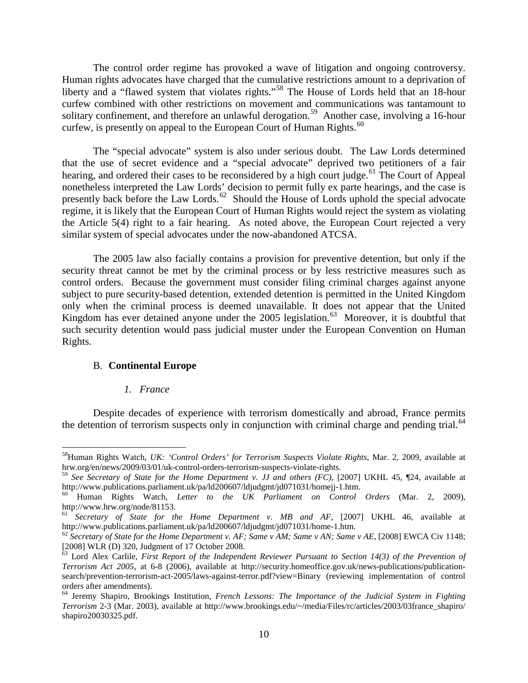The control order regime has provoked a wave of litigation and ongoing controversy. Human rights advocates have charged that the cumulative restrictions amount to a deprivation of liberty and a "flawed system that violates rights."<sup>[58](#page-10-0)</sup> The House of Lords held that an 18-hour curfew combined with other restrictions on movement and communications was tantamount to solitary confinement, and therefore an unlawful derogation.<sup>[59](#page-10-1)</sup> Another case, involving a 16-hour curfew, is presently on appeal to the European Court of Human Rights.<sup>[60](#page-10-2)</sup>

The "special advocate" system is also under serious doubt. The Law Lords determined that the use of secret evidence and a "special advocate" deprived two petitioners of a fair hearing, and ordered their cases to be reconsidered by a high court judge.<sup>[61](#page-10-3)</sup> The Court of Appeal nonetheless interpreted the Law Lords' decision to permit fully ex parte hearings, and the case is presently back before the Law Lords.<sup>[62](#page-10-4)</sup> Should the House of Lords uphold the special advocate regime, it is likely that the European Court of Human Rights would reject the system as violating the Article 5(4) right to a fair hearing. As noted above, the European Court rejected a very similar system of special advocates under the now-abandoned ATCSA.

The 2005 law also facially contains a provision for preventive detention, but only if the security threat cannot be met by the criminal process or by less restrictive measures such as control orders. Because the government must consider filing criminal charges against anyone subject to pure security-based detention, extended detention is permitted in the United Kingdom only when the criminal process is deemed unavailable. It does not appear that the United Kingdom has ever detained anyone under the 2005 legislation.<sup>[63](#page-10-5)</sup> Moreover, it is doubtful that such security detention would pass judicial muster under the European Convention on Human Rights.

## B. **Continental Europe**

#### *1. France*

Despite decades of experience with terrorism domestically and abroad, France permits the detention of terrorism suspects only in conjunction with criminal charge and pending trial.<sup>[64](#page-10-6)</sup>

<span id="page-10-0"></span><sup>&</sup>lt;sup>58</sup>Human Rights Watch, *UK: 'Control Orders' for Terrorism Suspects Violate Rights*, Mar. 2, 2009, available at hrw.org/en/news/2009/03/01/uk-control-orders-terrorism-suspects-violate-rights.

<span id="page-10-1"></span><sup>&</sup>lt;sup>59</sup> See *Secretary of State for the Home Department v. JJ and others (FC)*, [2007] UKHL 45, ¶24, available at http://www.publications.parliament.uk/pa/ld200607/ldjudgmt/jd071031/homeji-1.htm.

<span id="page-10-2"></span><sup>&</sup>lt;sup>60</sup> Human Rights Watch, *Letter to the UK Parliament on Control Orders* (Mar. 2, 2009), http://www.hrw.org/node/81153.

<span id="page-10-3"></span><sup>&</sup>lt;sup>61</sup> *Secretary of State for the Home Department v. MB and AF*, [2007] UKHL 46, available at http://www.publications.parliament.uk/pa/ld200607/ldjudgmt/jd071031/home-1.htm.

<span id="page-10-4"></span> $h^2$  Secretary of State for the Home Department v. AF; Same v AM; Same v AN; Same v AE, [2008] EWCA Civ 1148; [2008] WLR (D) 320, Judgment of 17 October 2008.

<span id="page-10-5"></span> $\frac{203}{103}$  Lord Alex Carlile, *First Report of the Independent Reviewer Pursuant to Section 14(3) of the Prevention of Terrorism Act 2005*, at 6-8 (2006), available at http://security.homeoffice.gov.uk/news-publications/publicationsearch/prevention-terrorism-act-2005/laws-against-terror.pdf?view=Binary (reviewing implementation of control orders after amendments).

<span id="page-10-6"></span><sup>64</sup> Jeremy Shapiro, Brookings Institution, *French Lessons: The Importance of the Judicial System in Fighting Terrorism* 2-3 (Mar. 2003), available at http://www.brookings.edu/~/media/Files/rc/articles/2003/03france\_shapiro/ shapiro20030325.pdf.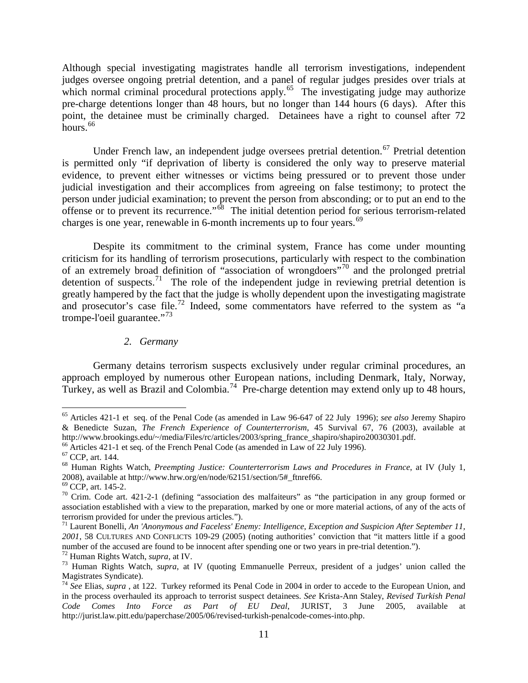Although special investigating magistrates handle all terrorism investigations, independent judges oversee ongoing pretrial detention, and a panel of regular judges presides over trials at which normal criminal procedural protections apply.<sup>65</sup> The investigating judge may authorize pre-charge detentions longer than 48 hours, but no longer than 144 hours (6 days). After this point, the detainee must be criminally charged. Detainees have a right to counsel after 72 hours.<sup>[66](#page-11-1)</sup>

Under French law, an independent judge oversees pretrial detention.<sup>[67](#page-11-2)</sup> Pretrial detention is permitted only "if deprivation of liberty is considered the only way to preserve material evidence, to prevent either witnesses or victims being pressured or to prevent those under judicial investigation and their accomplices from agreeing on false testimony; to protect the person under judicial examination; to prevent the person from absconding; or to put an end to the offense or to prevent its recurrence."[68](#page-11-3) The initial detention period for serious terrorism-related charges is one year, renewable in 6-month increments up to four years.<sup>[69](#page-11-4)</sup>

Despite its commitment to the criminal system, France has come under mounting criticism for its handling of terrorism prosecutions, particularly with respect to the combination of an extremely broad definition of "association of wrongdoers" [70](#page-11-5) and the prolonged pretrial detention of suspects.<sup>[71](#page-11-6)</sup> The role of the independent judge in reviewing pretrial detention is greatly hampered by the fact that the judge is wholly dependent upon the investigating magistrate and prosecutor's case file.<sup>[72](#page-11-7)</sup> Indeed, some commentators have referred to the system as "a trompe-l'oeil guarantee."[73](#page-11-8)

# *2. Germany*

Germany detains terrorism suspects exclusively under regular criminal procedures, an approach employed by numerous other European nations, including Denmark, Italy, Norway, Turkey, as well as Brazil and Colombia.<sup>[74](#page-11-9)</sup> Pre-charge detention may extend only up to 48 hours,

<span id="page-11-0"></span> <sup>65</sup> Articles 421-1 et seq. of the Penal Code (as amended in Law 96-647 of 22 July 1996); *see also* Jeremy Shapiro & Benedicte Suzan, *The French Experience of Counterterrorism*, 45 Survival 67, 76 (2003), available at

<span id="page-11-3"></span>

<span id="page-11-2"></span><span id="page-11-1"></span><sup>&</sup>lt;sup>66</sup> Articles 421-1 et seq. of the French Penal Code (as amended in Law of 22 July 1996).<br><sup>67</sup> CCP, art. 144.<br><sup>68</sup> Human Rights Watch, *Preempting Justice: Counterterrorism Laws and Procedures in France*, at IV (July 1, 2008), available at http://www.hrw.org/en/node/62151/section/5#\_ftnref66. <sup>69</sup> CCP, art. 145-2. <sup>70</sup> Crim. Code art. 421-2-1 (defining "association des malfaiteurs" as "the participation in any group formed or

<span id="page-11-5"></span><span id="page-11-4"></span>association established with a view to the preparation, marked by one or more material actions, of any of the acts of terrorism provided for under the previous articles.").

<span id="page-11-6"></span><sup>&</sup>lt;sup>71</sup> Laurent Bonelli, *An 'Anonymous and Faceless' Enemy: Intelligence, Exception and Suspicion After September 11, 2001*, 58 CULTURES AND CONFLICTS 109-29 (2005) (noting authorities' conviction that "it matters little if a good

<span id="page-11-8"></span><span id="page-11-7"></span><sup>&</sup>lt;sup>72</sup> Human Rights Watch, *supra*, at IV.<br><sup>73</sup> Human Rights Watch, *supra*, at IV (quoting Emmanuelle Perreux, president of a judges' union called the Magistrates Syndicate). <sup>74</sup> *See* Elias, *supra* , at 122. Turkey reformed its Penal Code in 2004 in order to accede to the European Union, and

<span id="page-11-9"></span>in the process overhauled its approach to terrorist suspect detainees. *See* Krista-Ann Staley, *Revised Turkish Penal Code Comes Into Force as Part of EU Deal*, JURIST, 3 June 2005, available at http://jurist.law.pitt.edu/paperchase/2005/06/revised-turkish-penalcode-comes-into.php.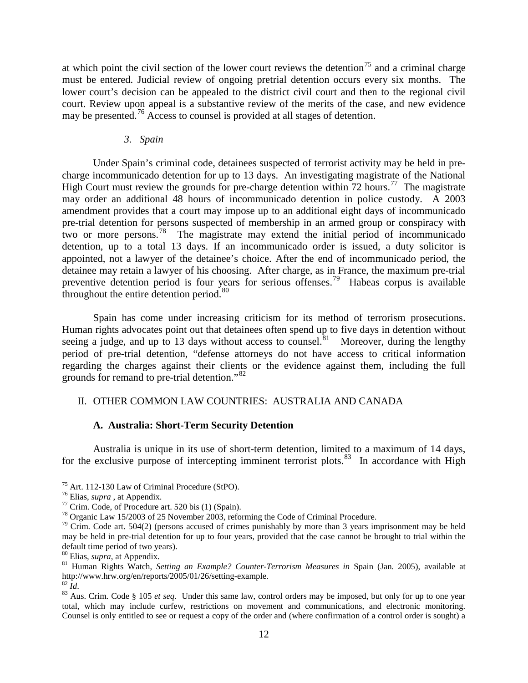at which point the civil section of the lower court reviews the detention<sup>[75](#page-12-0)</sup> and a criminal charge must be entered. Judicial review of ongoing pretrial detention occurs every six months. The lower court's decision can be appealed to the district civil court and then to the regional civil court. Review upon appeal is a substantive review of the merits of the case, and new evidence may be presented.<sup>[76](#page-12-1)</sup> Access to counsel is provided at all stages of detention.

#### *3. Spain*

Under Spain's criminal code, detainees suspected of terrorist activity may be held in precharge incommunicado detention for up to 13 days. An investigating magistrate of the National High Court must review the grounds for pre-charge detention within 72 hours.<sup>[77](#page-12-2)</sup> The magistrate may order an additional 48 hours of incommunicado detention in police custody. A 2003 amendment provides that a court may impose up to an additional eight days of incommunicado pre-trial detention for persons suspected of membership in an armed group or conspiracy with two or more persons.[78](#page-12-3) The magistrate may extend the initial period of incommunicado detention, up to a total 13 days. If an incommunicado order is issued, a duty solicitor is appointed, not a lawyer of the detainee's choice. After the end of incommunicado period, the detainee may retain a lawyer of his choosing. After charge, as in France, the maximum pre-trial preventive detention period is four years for serious offenses.[79](#page-12-4) Habeas corpus is available throughout the entire detention period. $80$ 

Spain has come under increasing criticism for its method of terrorism prosecutions. Human rights advocates point out that detainees often spend up to five days in detention without seeing a judge, and up to 13 days without access to counsel.<sup>[81](#page-12-6)</sup> Moreover, during the lengthy period of pre-trial detention, "defense attorneys do not have access to critical information regarding the charges against their clients or the evidence against them, including the full grounds for remand to pre-trial detention."[82](#page-12-7)

## II. OTHER COMMON LAW COUNTRIES: AUSTRALIA AND CANADA

## **A. Australia: Short-Term Security Detention**

Australia is unique in its use of short-term detention, limited to a maximum of 14 days, for the exclusive purpose of intercepting imminent terrorist plots.<sup>[83](#page-12-8)</sup> In accordance with High

<span id="page-12-2"></span>

<span id="page-12-4"></span><span id="page-12-3"></span>

<span id="page-12-1"></span><span id="page-12-0"></span><sup>&</sup>lt;sup>75</sup> Art. 112-130 Law of Criminal Procedure (StPO).<br><sup>76</sup> Elias, *supra*, at Appendix.<br><sup>77</sup> Crim. Code, of Procedure art. 520 bis (1) (Spain).<br><sup>78</sup> Organic Law 15/2003 of 25 November 2003, reforming the Code of Criminal Pr may be held in pre-trial detention for up to four years, provided that the case cannot be brought to trial within the

<span id="page-12-6"></span><span id="page-12-5"></span><sup>&</sup>lt;sup>80</sup> Elias, *supra*, at Appendix.<br><sup>81</sup> Human Rights Watch, *Setting an Example? Counter-Terrorism Measures in* Spain (Jan. 2005), available at http://www.hrw.org/en/reports/2005/01/26/setting-example. 82 *Id*.

<span id="page-12-8"></span><span id="page-12-7"></span><sup>&</sup>lt;sup>83</sup> Aus. Crim. Code § 105 *et seq*. Under this same law, control orders may be imposed, but only for up to one year total, which may include curfew, restrictions on movement and communications, and electronic monitoring. Counsel is only entitled to see or request a copy of the order and (where confirmation of a control order is sought) a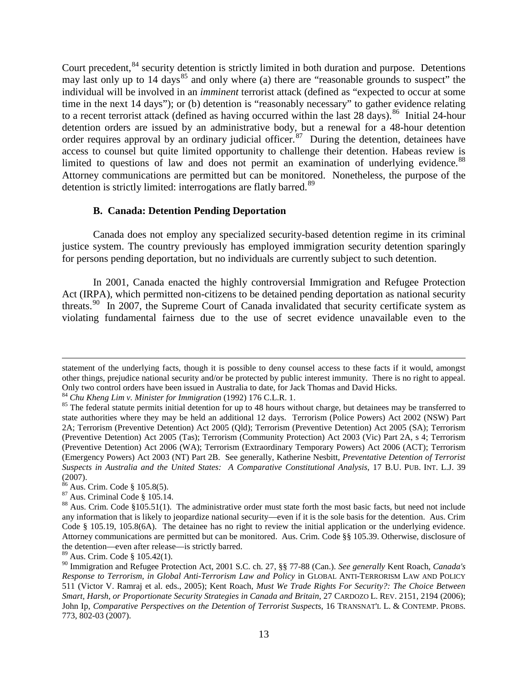Court precedent, <sup>[84](#page-13-0)</sup> security detention is strictly limited in both duration and purpose. Detentions may last only up to 14 days<sup>[85](#page-13-1)</sup> and only where (a) there are "reasonable grounds to suspect" the individual will be involved in an *imminent* terrorist attack (defined as "expected to occur at some time in the next 14 days"); or (b) detention is "reasonably necessary" to gather evidence relating to a recent terrorist attack (defined as having occurred within the last 28 days).<sup>[86](#page-13-2)</sup> Initial 24-hour detention orders are issued by an administrative body, but a renewal for a 48-hour detention order requires approval by an ordinary judicial officer.<sup>[87](#page-13-3)</sup> During the detention, detainees have access to counsel but quite limited opportunity to challenge their detention. Habeas review is limited to questions of law and does not permit an examination of underlying evidence.<sup>[88](#page-13-4)</sup> Attorney communications are permitted but can be monitored. Nonetheless, the purpose of the detention is strictly limited: interrogations are flatly barred.<sup>[89](#page-13-5)</sup>

## **B. Canada: Detention Pending Deportation**

Canada does not employ any specialized security-based detention regime in its criminal justice system. The country previously has employed immigration security detention sparingly for persons pending deportation, but no individuals are currently subject to such detention.

In 2001, Canada enacted the highly controversial Immigration and Refugee Protection Act (IRPA), which permitted non-citizens to be detained pending deportation as national security threats.<sup>[90](#page-13-6)</sup> In 2007, the Supreme Court of Canada invalidated that security certificate system as violating fundamental fairness due to the use of secret evidence unavailable even to the

 $\overline{a}$ 

statement of the underlying facts, though it is possible to deny counsel access to these facts if it would, amongst other things, prejudice national security and/or be protected by public interest immunity. There is no right to appeal. Only two control orders have been issued in Australia to date, for Jack Thomas and David Hicks.<br><sup>84</sup> Chu Kheng Lim v. Minister for Immigration (1992) 176 C.L.R. 1.<br><sup>85</sup> The federal statute permits initial detention for up

<span id="page-13-0"></span>

<span id="page-13-1"></span>state authorities where they may be held an additional 12 days. Terrorism (Police Powers) Act 2002 (NSW) Part 2A; Terrorism (Preventive Detention) Act 2005 (Qld); Terrorism (Preventive Detention) Act 2005 (SA); Terrorism (Preventive Detention) Act 2005 (Tas); Terrorism (Community Protection) Act 2003 (Vic) Part 2A, s 4; Terrorism (Preventive Detention) Act 2006 (WA); Terrorism (Extraordinary Temporary Powers) Act 2006 (ACT); Terrorism (Emergency Powers) Act 2003 (NT) Part 2B. See generally, Katherine Nesbitt, *Preventative Detention of Terrorist Suspects in Australia and the United States: A Comparative Constitutional Analysis*, 17 B.U. PUB. INT. L.J. 39  $(2007)$ .<br><sup>86</sup> Aus. Crim. Code § 105.8(5).

<span id="page-13-4"></span><span id="page-13-3"></span><span id="page-13-2"></span><sup>&</sup>lt;sup>87</sup> Aus. Criminal Code § 105.14.<br><sup>88</sup> Aus. Crim. Code §105.51(1). The administrative order must state forth the most basic facts, but need not include any information that is likely to jeopardize national security—even if it is the sole basis for the detention. Aus. Crim Code § 105.19, 105.8(6A). The detainee has no right to review the initial application or the underlying evidence. Attorney communications are permitted but can be monitored. Aus. Crim. Code §§ 105.39. Otherwise, disclosure of the detention—even after release—is strictly barred.

<span id="page-13-5"></span><sup>89</sup> Aus. Crim. Code § 105.42(1).

<span id="page-13-6"></span><sup>90</sup> Immigration and Refugee Protection Act, 2001 S.C. ch. 27, §§ 77-88 (Can.). *See generally* Kent Roach, *Canada's Response to Terrorism, in Global Anti-Terrorism Law and Policy* in GLOBAL ANTI-TERRORISM LAW AND POLICY 511 (Victor V. Ramraj et al. eds., 2005); Kent Roach, *Must We Trade Rights For Security?: The Choice Between Smart, Harsh, or Proportionate Security Strategies in Canada and Britain*, 27 CARDOZO L. REV. 2151, 2194 (2006); John Ip, *Comparative Perspectives on the Detention of Terrorist Suspects*, 16 TRANSNAT'L L. & CONTEMP. PROBS. 773, 802-03 (2007).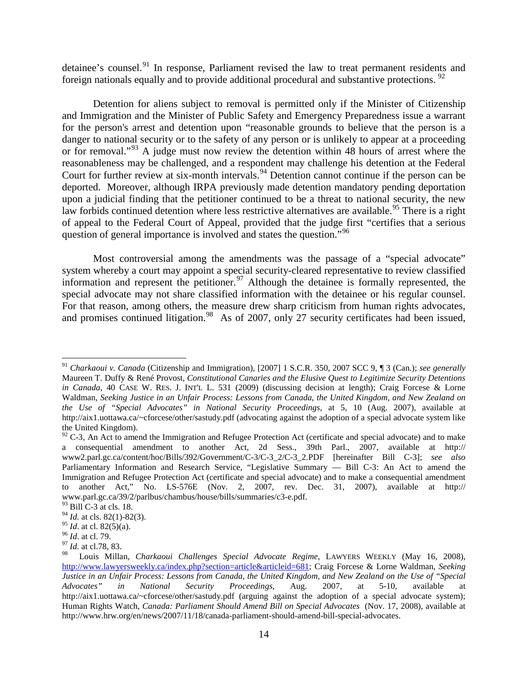detainee's counsel.<sup>[91](#page-14-0)</sup> In response, Parliament revised the law to treat permanent residents and foreign nationals equally and to provide additional procedural and substantive protections.  $92$ 

Detention for aliens subject to removal is permitted only if the Minister of Citizenship and Immigration and the Minister of Public Safety and Emergency Preparedness issue a warrant for the person's arrest and detention upon "reasonable grounds to believe that the person is a danger to national security or to the safety of any person or is unlikely to appear at a proceeding or for removal."<sup>[93](#page-14-2)</sup> A judge must now review the detention within 48 hours of arrest where the reasonableness may be challenged, and a respondent may challenge his detention at the Federal Court for further review at six-month intervals.<sup>[94](#page-14-3)</sup> Detention cannot continue if the person can be deported. Moreover, although IRPA previously made detention mandatory pending deportation upon a judicial finding that the petitioner continued to be a threat to national security, the new law forbids continued detention where less restrictive alternatives are available.<sup>[95](#page-14-4)</sup> There is a right of appeal to the Federal Court of Appeal, provided that the judge first "certifies that a serious question of general importance is involved and states the question."<sup>[96](#page-14-5)</sup>

Most controversial among the amendments was the passage of a "special advocate" system whereby a court may appoint a special security-cleared representative to review classified information and represent the petitioner.<sup>[97](#page-14-6)</sup> Although the detainee is formally represented, the special advocate may not share classified information with the detainee or his regular counsel. For that reason, among others, the measure drew sharp criticism from human rights advocates, and promises continued litigation.<sup>[98](#page-14-7)</sup> As of 2007, only 27 security certificates had been issued,

<span id="page-14-0"></span> <sup>91</sup> *Charkaoui v. Canada* (Citizenship and Immigration), [2007] 1 S.C.R. 350, 2007 SCC 9, ¶ 3 (Can.); *see generally* Maureen T. Duffy & René Provost, *Constitutional Canaries and the Elusive Quest to Legitimize Security Detentions in Canada*, 40 CASE W. RES. J. INT'L L. 531 (2009) (discussing decision at length); Craig Forcese & Lorne Waldman, *Seeking Justice in an Unfair Process: Lessons from Canada, the United Kingdom, and New Zealand on the Use of "Special Advocates" in National Security Proceedings*, at 5, 10 (Aug. 2007), available at http://aix1.uottawa.ca/~cforcese/other/sastudy.pdf (advocating against the adoption of a special advocate system like the United Kingdom).

<span id="page-14-1"></span> $92$  C-3, An Act to amend the Immigration and Refugee Protection Act (certificate and special advocate) and to make a consequential amendment to another Act, 2d Sess., 39th Parl., 2007, available at http:// www2.parl.gc.ca/content/hoc/Bills/392/Government/C-3/C-3\_2/C-3\_2.PDF [hereinafter Bill C-3]; *see also* Parliamentary Information and Research Service, "Legislative Summary — Bill C-3: An Act to amend the Immigration and Refugee Protection Act (certificate and special advocate) and to make a consequential amendment to another Act," No. LS-576E (Nov. 2, 2007, rev. Dec. 31, 2007), available at http:// www.parl.gc.ca/39/2/parlbus/chambus/house/bills/summaries/c3-e.pdf.

<span id="page-14-2"></span> $93$  Bill C-3 at cls. 18.

<span id="page-14-3"></span><sup>&</sup>lt;sup>94</sup> *Id.* at cls. 82(1)-82(3).<br><sup>95</sup> *Id.* at cl. 82(5)(a).

<span id="page-14-5"></span><span id="page-14-4"></span><sup>&</sup>lt;sup>96</sup> *Id.* at cl. 79.<br><sup>97</sup> *Id.* at cl.78, 83.

<span id="page-14-7"></span><span id="page-14-6"></span><sup>98</sup> Louis Millan, *Charkaoui Challenges Special Advocate Regime*, LAWYERS WEEKLY (May 16, 2008), [http://www.lawyersweekly.ca/index.php?section=article&articleid=681;](http://www.lawyersweekly.ca/index.php?section=article&articleid=681) Craig Forcese & Lorne Waldman, *Seeking Justice in an Unfair Process: Lessons from Canada, the United Kingdom, and New Zealand on the Use of "Special Advocates" in National Security Proceedings*, Aug. 2007, at 5-10, available at http://aix1.uottawa.ca/~cforcese/other/sastudy.pdf (arguing against the adoption of a special advocate system); Human Rights Watch, *Canada: Parliament Should Amend Bill on Special Advocates* (Nov. 17, 2008), available at http://www.hrw.org/en/news/2007/11/18/canada-parliament-should-amend-bill-special-advocates.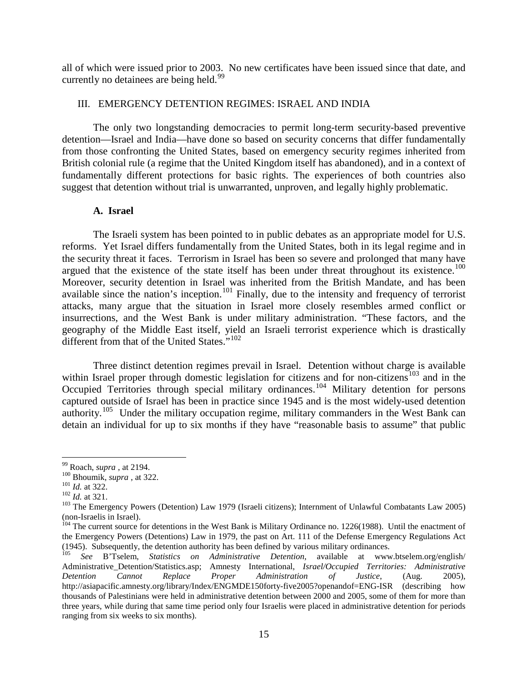all of which were issued prior to 2003. No new certificates have been issued since that date, and currently no detainees are being held.<sup>[99](#page-15-0)</sup>

## III. EMERGENCY DETENTION REGIMES: ISRAEL AND INDIA

The only two longstanding democracies to permit long-term security-based preventive detention—Israel and India—have done so based on security concerns that differ fundamentally from those confronting the United States, based on emergency security regimes inherited from British colonial rule (a regime that the United Kingdom itself has abandoned), and in a context of fundamentally different protections for basic rights. The experiences of both countries also suggest that detention without trial is unwarranted, unproven, and legally highly problematic.

## **A. Israel**

The Israeli system has been pointed to in public debates as an appropriate model for U.S. reforms. Yet Israel differs fundamentally from the United States, both in its legal regime and in the security threat it faces. Terrorism in Israel has been so severe and prolonged that many have argued that the existence of the state itself has been under threat throughout its existence.<sup>[100](#page-15-1)</sup> Moreover, security detention in Israel was inherited from the British Mandate, and has been available since the nation's inception.<sup>[101](#page-15-2)</sup> Finally, due to the intensity and frequency of terrorist attacks, many argue that the situation in Israel more closely resembles armed conflict or insurrections, and the West Bank is under military administration. "These factors, and the geography of the Middle East itself, yield an Israeli terrorist experience which is drastically different from that of the United States."<sup>[102](#page-15-3)</sup>

Three distinct detention regimes prevail in Israel. Detention without charge is available within Israel proper through domestic legislation for citizens and for non-citizens<sup>[103](#page-15-4)</sup> and in the Occupied Territories through special military ordinances.<sup>[104](#page-15-5)</sup> Military detention for persons captured outside of Israel has been in practice since 1945 and is the most widely-used detention authority.<sup>[105](#page-15-6)</sup> Under the military occupation regime, military commanders in the West Bank can detain an individual for up to six months if they have "reasonable basis to assume" that public

<span id="page-15-2"></span>

<span id="page-15-4"></span><span id="page-15-3"></span>

<span id="page-15-1"></span><span id="page-15-0"></span><sup>&</sup>lt;sup>99</sup> Roach, *supra*, at 2194.<br>
<sup>100</sup> Bhoumik, *supra*, at 322.<br>
<sup>101</sup> *Id.* at 322.<br>
<sup>102</sup> *Id.* at 321.<br>
<sup>102</sup> *Id.* at 321.<br>
<sup>103</sup> The Emergency Powers (Detention) Law 1979 (Israeli citizens); Internment of Unlawful Com

<span id="page-15-5"></span> $\frac{104}{104}$  The current source for detentions in the West Bank is Military Ordinance no. 1226(1988). Until the enactment of the Emergency Powers (Detentions) Law in 1979, the past on Art. 111 of the Defense Emergency Regulations Act (1945). Subsequently, the detention authority has been defined by various military ordinances.

<span id="page-15-6"></span><sup>105</sup> *See* B'Tselem, *Statistics on Administrative Detention*, available at www.btselem.org/english/ Administrative\_Detention/Statistics.asp; Amnesty International, *Israel/Occupied Territories: Administrative Detention Cannot Replace Proper Administration of Justice*, (Aug. 2005), http://asiapacific.amnesty.org/library/Index/ENGMDE150forty-five2005?openandof=ENG-ISR (describing how thousands of Palestinians were held in administrative detention between 2000 and 2005, some of them for more than three years, while during that same time period only four Israelis were placed in administrative detention for periods ranging from six weeks to six months).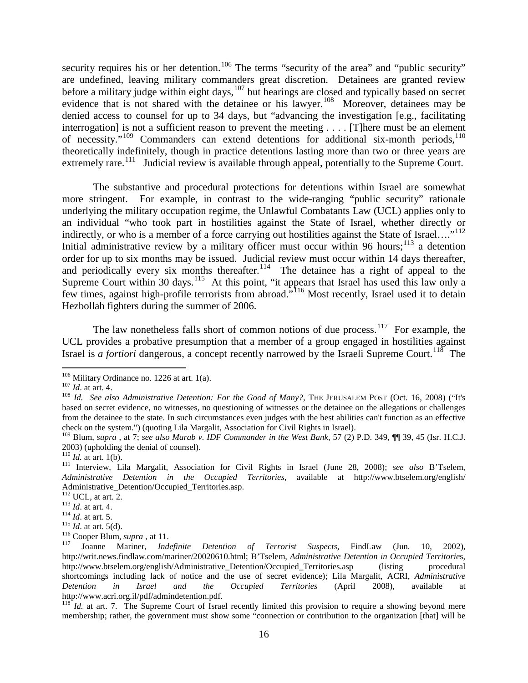security requires his or her detention.<sup>[106](#page-16-0)</sup> The terms "security of the area" and "public security" are undefined, leaving military commanders great discretion. Detainees are granted review before a military judge within eight days,  $107$  but hearings are closed and typically based on secret evidence that is not shared with the detainee or his lawyer.<sup>[108](#page-16-2)</sup> Moreover, detainees may be denied access to counsel for up to 34 days, but "advancing the investigation [e.g., facilitating interrogation] is not a sufficient reason to prevent the meeting . . . . [T] here must be an element of necessity."<sup>[109](#page-16-3)</sup> Commanders can extend detentions for additional six-month periods,<sup>[110](#page-16-4)</sup> theoretically indefinitely, though in practice detentions lasting more than two or three years are extremely rare.<sup>[111](#page-16-5)</sup> Judicial review is available through appeal, potentially to the Supreme Court.

The substantive and procedural protections for detentions within Israel are somewhat more stringent. For example, in contrast to the wide-ranging "public security" rationale underlying the military occupation regime, the Unlawful Combatants Law (UCL) applies only to an individual "who took part in hostilities against the State of Israel, whether directly or indirectly, or who is a member of a force carrying out hostilities against the State of Israel....' [112](#page-16-6) Initial administrative review by a military officer must occur within 96 hours;<sup>[113](#page-16-7)</sup> a detention order for up to six months may be issued. Judicial review must occur within 14 days thereafter, and periodically every six months thereafter.<sup>114</sup> The detainee has a right of appeal to the Supreme Court within 30 days.<sup>115</sup> At this point, "it appears that Israel has used this law only a few times, against high-profile terrorists from abroad."<sup>[116](#page-16-10)</sup> Most recently, Israel used it to detain Hezbollah fighters during the summer of 2006.

The law nonetheless falls short of common notions of due process.<sup>117</sup> For example, the UCL provides a probative presumption that a member of a group engaged in hostilities against Israel is *a fortiori* dangerous, a concept recently narrowed by the Israeli Supreme Court.<sup>[118](#page-16-12)</sup> The

<span id="page-16-2"></span>

<span id="page-16-1"></span><span id="page-16-0"></span><sup>&</sup>lt;sup>106</sup> Military Ordinance no. 1226 at art. 1(a).<br><sup>107</sup> *Id.* at art. 4. *See also Administrative Detention: For the Good of Many?*, THE JERUSALEM POST (Oct. 16, 2008) ("It's based on secret evidence, no witnesses, no questioning of witnesses or the detainee on the allegations or challenges from the detainee to the state. In such circumstances even judges with the best abilities can't function as an effective check on the system.") (quoting Lila Margalit, Association for Civil Rights in Israel).

<span id="page-16-3"></span><sup>109</sup> Blum, *supra* , at 7; *see also Marab v. IDF Commander in the West Bank*, 57 (2) P.D. 349, ¶¶ 39, 45 (Isr. H.C.J. 2003) (upholding the denial of counsel).<br> $^{110}$  *Id.* at art. 1(b).

<span id="page-16-4"></span>

<span id="page-16-5"></span><sup>&</sup>lt;sup>111</sup> Interview, Lila Margalit, Association for Civil Rights in Israel (June 28, 2008); see also B'Tselem, *Administrative Detention in the Occupied Territories*, available at http://www.btselem.org/english/

<span id="page-16-7"></span>

<span id="page-16-8"></span>

<span id="page-16-9"></span>

<span id="page-16-11"></span><span id="page-16-10"></span>

<span id="page-16-6"></span>Administrative\_Detention/Occupied\_Territories.asp.<br>
<sup>112</sup> UCL, at art. 2.<br>
<sup>113</sup> Id. at art. 4.<br>
<sup>114</sup> Id. at art. 5.<br>
<sup>115</sup> Id. at art. 5(d).<br>
<sup>116</sup> Cooper Blum, *supra*, at 11.<br>
<sup>116</sup> Cooper Blum, *supra*, at 11.<br>
<sup>117</sup> http://writ.news.findlaw.com/mariner/20020610.html; B'Tselem, *Administrative Detention in Occupied Territorie*s, http://www.btselem.org/english/Administrative Detention/Occupied Territories.asp (listing procedural shortcomings including lack of notice and the use of secret evidence); Lila Margalit, ACRI, *Administrative Detention in Israel and the Occupied Territories* (April 2008), available at http://www.acri.org.il/pdf/admindetention.pdf.

<span id="page-16-12"></span> $118$ <sup> $118$ </sup>*Id.* at art. 7. The Supreme Court of Israel recently limited this provision to require a showing beyond mere membership; rather, the government must show some "connection or contribution to the organization [that] will be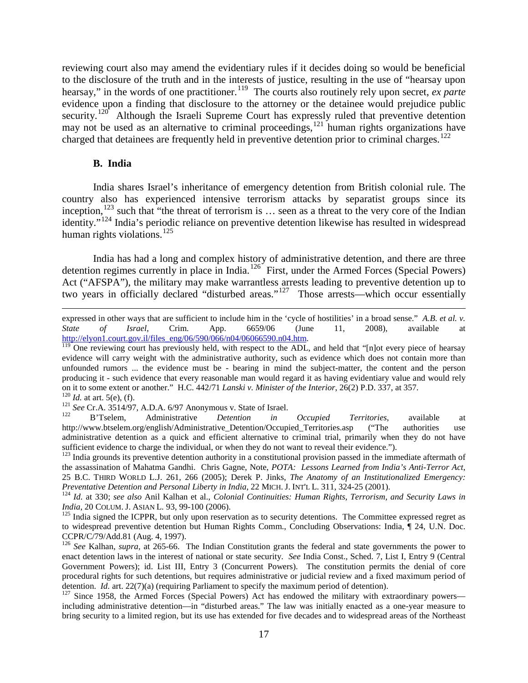reviewing court also may amend the evidentiary rules if it decides doing so would be beneficial to the disclosure of the truth and in the interests of justice, resulting in the use of "hearsay upon hearsay," in the words of one practitioner. [119](#page-17-0) The courts also routinely rely upon secret, *ex parte* evidence upon a finding that disclosure to the attorney or the detainee would prejudice public security.<sup>120</sup> Although the Israeli Supreme Court has expressly ruled that preventive detention may not be used as an alternative to criminal proceedings,  $^{121}$  $^{121}$  $^{121}$  human rights organizations have charged that detainees are frequently held in preventive detention prior to criminal charges.<sup>[122](#page-17-3)</sup>

## **B. India**

 $\overline{a}$ 

India shares Israel's inheritance of emergency detention from British colonial rule. The country also has experienced intensive terrorism attacks by separatist groups since its inception,<sup>[123](#page-17-4)</sup> such that "the threat of terrorism is ... seen as a threat to the very core of the Indian identity."<sup>[124](#page-17-5)</sup> India's periodic reliance on preventive detention likewise has resulted in widespread human rights violations. [125](#page-17-6)

India has had a long and complex history of administrative detention, and there are three detention regimes currently in place in India.<sup>126</sup> First, under the Armed Forces (Special Powers) Act ("AFSPA"), the military may make warrantless arrests leading to preventive detention up to two years in officially declared "disturbed areas."<sup>[127](#page-17-8)</sup> Those arrests—which occur essentially

expressed in other ways that are sufficient to include him in the 'cycle of hostilities' in a broad sense." *A.B. et al. v. State of Israel*, Crim. App. 6659/06 (June 11, 2008), available at  $\frac{http://elyon1.court.gov.i/files\ eng/06/590/066/n04/06066590.n04.htm. 119 \nIm\ Qn$  one reviewing court has previously held, with respect to the ADL, and held that "[n]ot every piece of hearsay

<span id="page-17-0"></span>evidence will carry weight with the administrative authority, such as evidence which does not contain more than unfounded rumors ... the evidence must be - bearing in mind the subject-matter, the content and the person producing it - such evidence that every reasonable man would regard it as having evidentiary value and would rely on it to some extent or another." H.C. 442/71 *Lanski v. Minister of the Interior*, 26(2) P.D. 337, at 357.<br>
<sup>120</sup> *Id.* at art. 5(e), (f).<br>
<sup>121</sup> *See* Cr.A. 3514/97, A.D.A. 6/97 Anonymous v. State of Israel.<br>
<sup>121</sup> *See* 

<span id="page-17-2"></span><span id="page-17-1"></span>

<span id="page-17-3"></span>http://www.btselem.org/english/Administrative\_Detention/Occupied\_Territories.asp ("The authorities use administrative detention as a quick and efficient alternative to criminal trial, primarily when they do not have sufficient evidence to charge the individual, or when they do not want to reveal their evidence.").

<span id="page-17-4"></span><sup>&</sup>lt;sup>123</sup> India grounds its preventive detention authority in a constitutional provision passed in the immediate aftermath of the assassination of Mahatma Gandhi. Chris Gagne, Note, *POTA: Lessons Learned from India's Anti-Terror Act*, 25 B.C. THIRD WORLD L.J. 261, 266 (2005); Derek P. Jinks, *The Anatomy of an Institutionalized Emergency:* 

<span id="page-17-5"></span><sup>&</sup>lt;sup>124</sup> Id. at 330; see also Anil Kalhan et al., Colonial Continuities: Human Rights, Terrorism, and Security Laws in *India*, 20 COLUM. J. ASIAN L. 93, 99-100 (2006).<br><sup>125</sup> India signed the ICPPR, but only upon reservation as to security detentions. The Committee expressed regret as

<span id="page-17-6"></span>to widespread preventive detention but Human Rights Comm., Concluding Observations: India, ¶ 24, U.N. Doc. CCPR/C/79/Add.81 (Aug. 4, 1997).

<span id="page-17-7"></span><sup>126</sup> *See* Kalhan, *supra*, at 265-66. The Indian Constitution grants the federal and state governments the power to enact detention laws in the interest of national or state security. *See* India Const., Sched. 7, List I, Entry 9 (Central Government Powers); id. List III, Entry 3 (Concurrent Powers). The constitution permits the denial of core procedural rights for such detentions, but requires administrative or judicial review and a fixed maximum period of detention. *Id.* art.  $22(7)(a)$  (requiring Parliament to specify the maximum period of detention).

<span id="page-17-8"></span> $127$  Since 1958, the Armed Forces (Special Powers) Act has endowed the military with extraordinary powers including administrative detention—in "disturbed areas." The law was initially enacted as a one-year measure to bring security to a limited region, but its use has extended for five decades and to widespread areas of the Northeast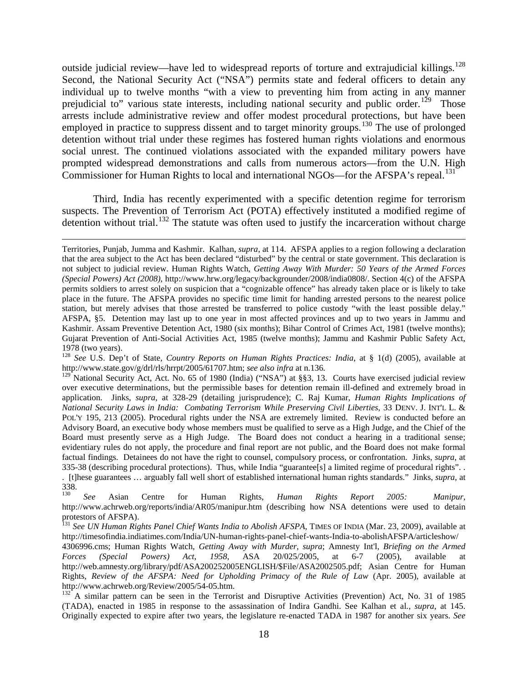outside judicial review—have led to widespread reports of torture and extrajudicial killings.<sup>[128](#page-18-0)</sup> Second, the National Security Act ("NSA") permits state and federal officers to detain any individual up to twelve months "with a view to preventing him from acting in any manner prejudicial to" various state interests, including national security and public order.<sup>129</sup> Those arrests include administrative review and offer modest procedural protections, but have been employed in practice to suppress dissent and to target minority groups.<sup>[130](#page-18-2)</sup> The use of prolonged detention without trial under these regimes has fostered human rights violations and enormous social unrest. The continued violations associated with the expanded military powers have prompted widespread demonstrations and calls from numerous actors—from the U.N. High Commissioner for Human Rights to local and international NGOs—for the AFSPA's repeal.<sup>[131](#page-18-3)</sup>

Third, India has recently experimented with a specific detention regime for terrorism suspects. The Prevention of Terrorism Act (POTA) effectively instituted a modified regime of detention without trial.<sup>[132](#page-18-4)</sup> The statute was often used to justify the incarceration without charge

 $\overline{a}$ 

<span id="page-18-0"></span>1978 (two years).<br><sup>128</sup> *See* U.S. Dep't of State, *Country Reports on Human Rights Practices: India*, at § 1(d) (2005), available at<br>http://www.state.gov/g/drl/rls/hrrpt/2005/61707.htm; *see also infra* at n.136.

Territories, Punjab, Jumma and Kashmir. Kalhan, *supra*, at 114. AFSPA applies to a region following a declaration that the area subject to the Act has been declared "disturbed" by the central or state government. This declaration is not subject to judicial review. Human Rights Watch, *Getting Away With Murder: 50 Years of the Armed Forces (Special Powers) Act (2008)*, http://www.hrw.org/legacy/backgrounder/2008/india0808/. Section 4(c) of the AFSPA permits soldiers to arrest solely on suspicion that a "cognizable offence" has already taken place or is likely to take place in the future. The AFSPA provides no specific time limit for handing arrested persons to the nearest police station, but merely advises that those arrested be transferred to police custody "with the least possible delay." AFSPA, §5. Detention may last up to one year in most affected provinces and up to two years in Jammu and Kashmir. Assam Preventive Detention Act, 1980 (six months); Bihar Control of Crimes Act, 1981 (twelve months); Gujarat Prevention of Anti-Social Activities Act, 1985 (twelve months); Jammu and Kashmir Public Safety Act,

<span id="page-18-1"></span><sup>&</sup>lt;sup>129</sup> National Security Act, Act. No. 65 of 1980 (India) ("NSA") at §§3, 13. Courts have exercised judicial review over executive determinations, but the permissible bases for detention remain ill-defined and extremely broad in application. Jinks, *supra*, at 328-29 (detailing jurisprudence); C. Raj Kumar, *Human Rights Implications of National Security Laws in India: Combating Terrorism While Preserving Civil Liberties*, 33 DENV. J. INT'L L. & POL'Y 195, 213 (2005). Procedural rights under the NSA are extremely limited. Review is conducted before an Advisory Board, an executive body whose members must be qualified to serve as a High Judge, and the Chief of the Board must presently serve as a High Judge. The Board does not conduct a hearing in a traditional sense; evidentiary rules do not apply, the procedure and final report are not public, and the Board does not make formal factual findings. Detainees do not have the right to counsel, compulsory process, or confrontation. Jinks, *supra*, at 335-38 (describing procedural protections). Thus, while India "guarantee[s] a limited regime of procedural rights". . . [t]hese guarantees … arguably fall well short of established international human rights standards." Jinks, *supra*, at 338.<br>130

<span id="page-18-2"></span><sup>130</sup> *See* Asian Centre for Human Rights, *Human Rights Report 2005: Manipur*, http://www.achrweb.org/reports/india/AR05/manipur.htm (describing how NSA detentions were used to detain protestors of AFSPA).

<span id="page-18-3"></span><sup>131</sup> *See UN Human Rights Panel Chief Wants India to Abolish AFSPA*, TIMES OF INDIA (Mar. 23, 2009), available at http://timesofindia.indiatimes.com/India/UN-human-rights-panel-chief-wants-India-to-abolishAFSPA/articleshow/

<sup>4306996.</sup>cms; Human Rights Watch, *Getting Away with Murder*, *supra*; Amnesty Int'l, *Briefing on the Armed Forces (Special Powers) Act, 1958*, ASA 20/025/2005, at 6-7 (2005), available at http://web.amnesty.org/library/pdf/ASA200252005ENGLISH/\$File/ASA2002505.pdf; Asian Centre for Human Rights, *Review of the AFSPA: Need for Upholding Primacy of the Rule of Law* (Apr. 2005), available at http://www.achrweb.org/Review/2005/54-05.htm.

<span id="page-18-4"></span> $132^{\circ}$  A similar pattern can be seen in the Terrorist and Disruptive Activities (Prevention) Act, No. 31 of 1985 (TADA), enacted in 1985 in response to the assassination of Indira Gandhi. See Kalhan et al., *supra*, at 145. Originally expected to expire after two years, the legislature re-enacted TADA in 1987 for another six years. *See*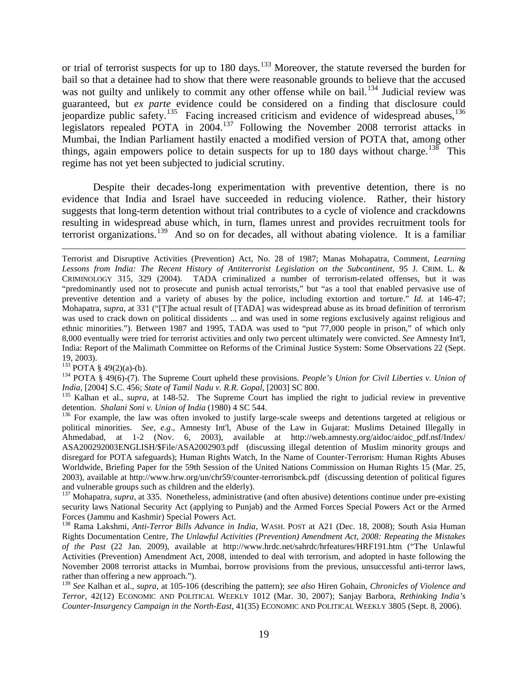or trial of terrorist suspects for up to 180 days.<sup>[133](#page-19-0)</sup> Moreover, the statute reversed the burden for bail so that a detainee had to show that there were reasonable grounds to believe that the accused was not guilty and unlikely to commit any other offense while on bail.<sup>[134](#page-19-1)</sup> Judicial review was guaranteed, but *ex parte* evidence could be considered on a finding that disclosure could jeopardize public safety.<sup>135</sup> Facing increased criticism and evidence of widespread abuses,<sup>[136](#page-19-3)</sup> legislators repealed POTA in  $2004$ .<sup>[137](#page-19-4)</sup> Following the November 2008 terrorist attacks in Mumbai, the Indian Parliament hastily enacted a modified version of POTA that, among other things, again empowers police to detain suspects for up to 180 days without charge.<sup>[138](#page-19-5)</sup> This regime has not yet been subjected to judicial scrutiny.

Despite their decades-long experimentation with preventive detention, there is no evidence that India and Israel have succeeded in reducing violence. Rather, their history suggests that long-term detention without trial contributes to a cycle of violence and crackdowns resulting in widespread abuse which, in turn, flames unrest and provides recruitment tools for terrorist organizations.<sup>[139](#page-19-6)</sup> And so on for decades, all without abating violence. It is a familiar

19, 2003).<br><sup>133</sup> POTA § 49(2)(a)-(b).

 $\overline{a}$ 

<span id="page-19-1"></span><span id="page-19-0"></span><sup>134</sup> POTA § 49(6)-(7). The Supreme Court upheld these provisions. *People's Union for Civil Liberties v. Union of* 

<span id="page-19-2"></span>*India*, [2004] S.C. 456; *State of Tamil Nadu v. R.R. Gopal*, [2003] SC 800.<br><sup>135</sup> Kalhan et al., *supra*, at 148-52. The Supreme Court has implied the right to judicial review in preventive detention. *Shalani Soni v. Un* 

<span id="page-19-3"></span><sup>136</sup> For example, the law was often invoked to justify large-scale sweeps and detentions targeted at religious or political minorities. *See, e.g*., Amnesty Int'l, Abuse of the Law in Gujarat: Muslims Detained Illegally in Ahmedabad, at 1-2 (Nov. 6, 2003), available at http://web.amnesty.org/aidoc/aidoc\_pdf.nsf/Index/ ASA200292003ENGLISH/\$File/ASA2002903.pdf (discussing illegal detention of Muslim minority groups and disregard for POTA safeguards); Human Rights Watch, In the Name of Counter-Terrorism: Human Rights Abuses Worldwide, Briefing Paper for the 59th Session of the United Nations Commission on Human Rights 15 (Mar. 25, 2003), available at http://www.hrw.org/un/chr59/counter-terrorismbck.pdf (discussing detention of political figures and vulnerable groups such as children and the elderly).

<span id="page-19-4"></span><sup>137</sup> Mohapatra, *supra*, at 335. Nonetheless, administrative (and often abusive) detentions continue under pre-existing security laws National Security Act (applying to Punjab) and the Armed Forces Special Powers Act or the Armed Forces (Jammu and Kashmir) Special Powers Act.

<span id="page-19-5"></span><sup>138</sup> Rama Lakshmi, *Anti-Terror Bills Advance in India*, WASH. POST at A21 (Dec. 18, 2008); South Asia Human Rights Documentation Centre, *The Unlawful Activities (Prevention) Amendment Act, 2008: Repeating the Mistakes of the Past* (22 Jan. 2009), available at http://www.hrdc.net/sahrdc/hrfeatures/HRF191.htm ("The Unlawful Activities (Prevention) Amendment Act, 2008, intended to deal with terrorism, and adopted in haste following the November 2008 terrorist attacks in Mumbai, borrow provisions from the previous, unsuccessful anti-terror laws, rather than offering a new approach.").

<span id="page-19-6"></span><sup>139</sup> *See* Kalhan et al., *supra*, at 105-106 (describing the pattern); *see also* Hiren Gohain, *Chronicles of Violence and Terror*, 42(12) ECONOMIC AND POLITICAL WEEKLY 1012 (Mar. 30, 2007); Sanjay Barbora, *Rethinking India's Counter-Insurgency Campaign in the North-East*, 41(35) ECONOMIC AND POLITICAL WEEKLY 3805 (Sept. 8, 2006).

Terrorist and Disruptive Activities (Prevention) Act, No. 28 of 1987; Manas Mohapatra, Comment, *Learning Lessons from India: The Recent History of Antiterrorist Legislation on the Subcontinent*, 95 J. CRIM. L. & CRIMINOLOGY 315, 329 (2004). TADA criminalized a number of terrorism-related offenses, but it was "predominantly used not to prosecute and punish actual terrorists," but "as a tool that enabled pervasive use of preventive detention and a variety of abuses by the police, including extortion and torture." *Id*. at 146-47; Mohapatra, *supra*, at 331 ("[T]he actual result of [TADA] was widespread abuse as its broad definition of terrorism was used to crack down on political dissidents ... and was used in some regions exclusively against religious and ethnic minorities."). Between 1987 and 1995, TADA was used to "put 77,000 people in prison," of which only 8,000 eventually were tried for terrorist activities and only two percent ultimately were convicted. *See* Amnesty Int'l, India: Report of the Malimath Committee on Reforms of the Criminal Justice System: Some Observations 22 (Sept.